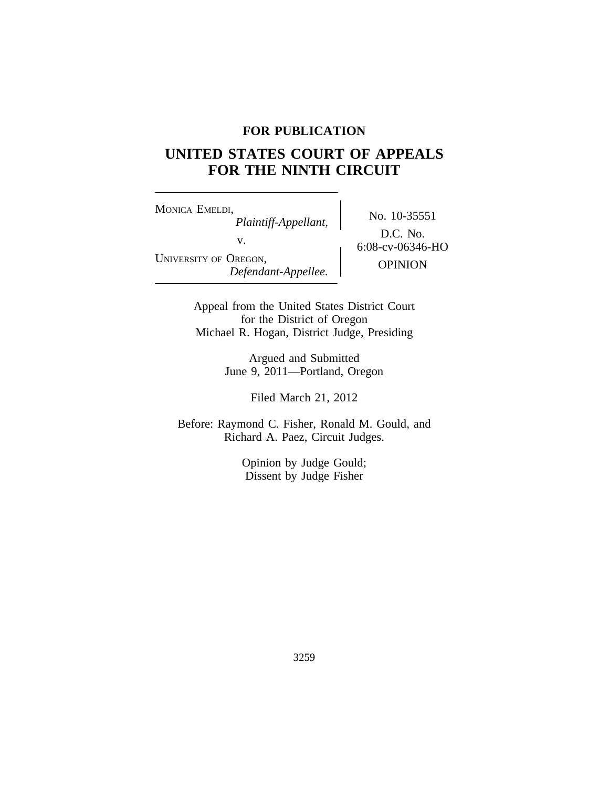# **FOR PUBLICATION**

# **UNITED STATES COURT OF APPEALS FOR THE NINTH CIRCUIT**

<sup>M</sup>ONICA EMELDI, No. 10-35551 *Plaintiff-Appellant,* v. 6:08-cv-06346-HO UNIVERSITY OF OREGON, OPINION *Defendant-Appellee.*

D.C. No.

Appeal from the United States District Court for the District of Oregon Michael R. Hogan, District Judge, Presiding

> Argued and Submitted June 9, 2011—Portland, Oregon

> > Filed March 21, 2012

Before: Raymond C. Fisher, Ronald M. Gould, and Richard A. Paez, Circuit Judges.

> Opinion by Judge Gould; Dissent by Judge Fisher

> > 3259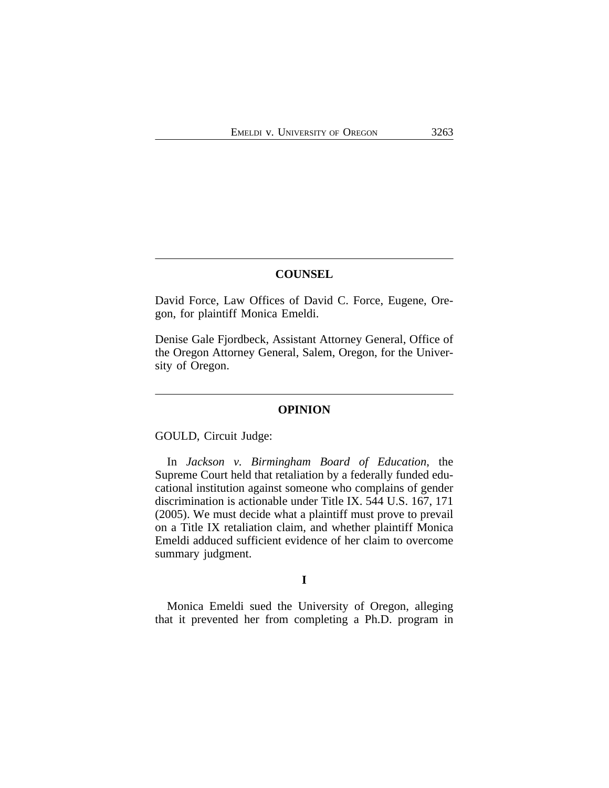## **COUNSEL**

David Force, Law Offices of David C. Force, Eugene, Oregon, for plaintiff Monica Emeldi.

Denise Gale Fjordbeck, Assistant Attorney General, Office of the Oregon Attorney General, Salem, Oregon, for the University of Oregon.

#### **OPINION**

GOULD, Circuit Judge:

In *Jackson v. Birmingham Board of Education*, the Supreme Court held that retaliation by a federally funded educational institution against someone who complains of gender discrimination is actionable under Title IX. 544 U.S. 167, 171 (2005). We must decide what a plaintiff must prove to prevail on a Title IX retaliation claim, and whether plaintiff Monica Emeldi adduced sufficient evidence of her claim to overcome summary judgment.

#### **I**

Monica Emeldi sued the University of Oregon, alleging that it prevented her from completing a Ph.D. program in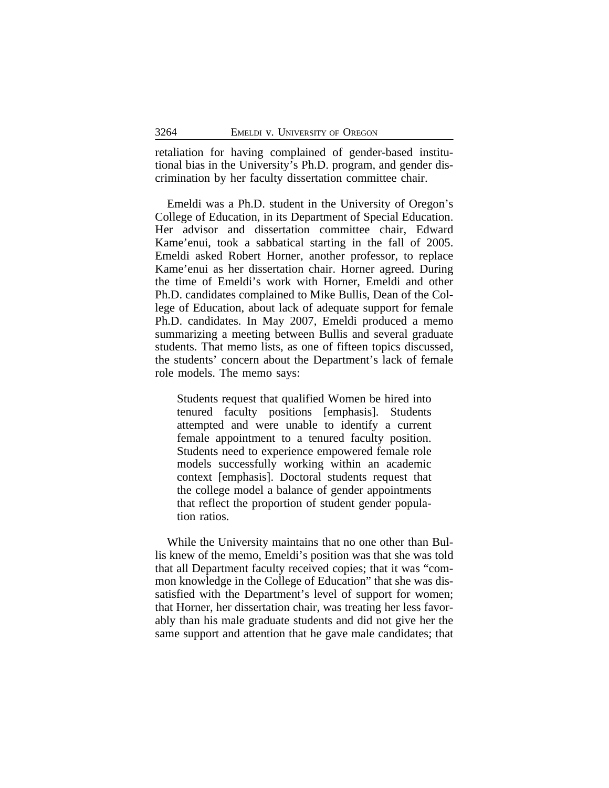retaliation for having complained of gender-based institutional bias in the University's Ph.D. program, and gender discrimination by her faculty dissertation committee chair.

Emeldi was a Ph.D. student in the University of Oregon's College of Education, in its Department of Special Education. Her advisor and dissertation committee chair, Edward Kame'enui, took a sabbatical starting in the fall of 2005. Emeldi asked Robert Horner, another professor, to replace Kame'enui as her dissertation chair. Horner agreed. During the time of Emeldi's work with Horner, Emeldi and other Ph.D. candidates complained to Mike Bullis, Dean of the College of Education, about lack of adequate support for female Ph.D. candidates. In May 2007, Emeldi produced a memo summarizing a meeting between Bullis and several graduate students. That memo lists, as one of fifteen topics discussed, the students' concern about the Department's lack of female role models. The memo says:

Students request that qualified Women be hired into tenured faculty positions [emphasis]. Students attempted and were unable to identify a current female appointment to a tenured faculty position. Students need to experience empowered female role models successfully working within an academic context [emphasis]. Doctoral students request that the college model a balance of gender appointments that reflect the proportion of student gender population ratios.

While the University maintains that no one other than Bullis knew of the memo, Emeldi's position was that she was told that all Department faculty received copies; that it was "common knowledge in the College of Education" that she was dissatisfied with the Department's level of support for women; that Horner, her dissertation chair, was treating her less favorably than his male graduate students and did not give her the same support and attention that he gave male candidates; that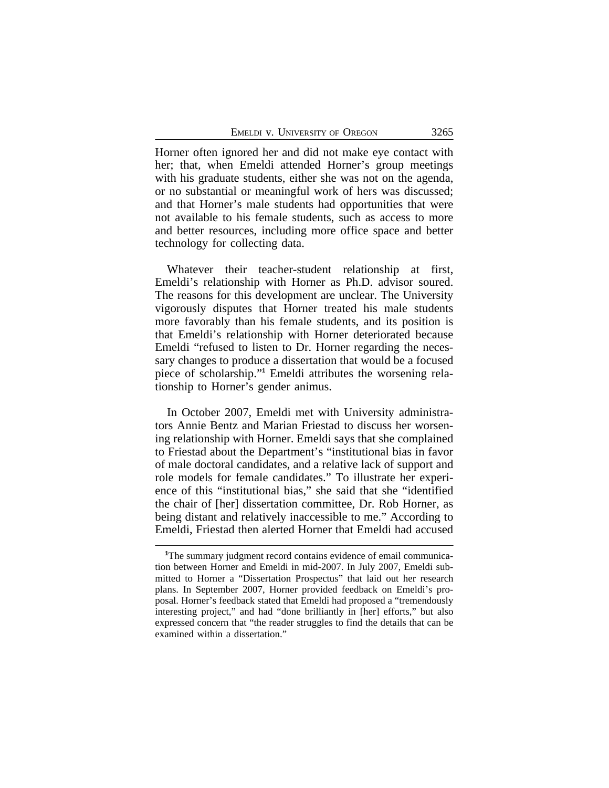Horner often ignored her and did not make eye contact with her; that, when Emeldi attended Horner's group meetings with his graduate students, either she was not on the agenda, or no substantial or meaningful work of hers was discussed; and that Horner's male students had opportunities that were not available to his female students, such as access to more and better resources, including more office space and better technology for collecting data.

Whatever their teacher-student relationship at first, Emeldi's relationship with Horner as Ph.D. advisor soured. The reasons for this development are unclear. The University vigorously disputes that Horner treated his male students more favorably than his female students, and its position is that Emeldi's relationship with Horner deteriorated because Emeldi "refused to listen to Dr. Horner regarding the necessary changes to produce a dissertation that would be a focused piece of scholarship." **<sup>1</sup>** Emeldi attributes the worsening relationship to Horner's gender animus.

In October 2007, Emeldi met with University administrators Annie Bentz and Marian Friestad to discuss her worsening relationship with Horner. Emeldi says that she complained to Friestad about the Department's "institutional bias in favor of male doctoral candidates, and a relative lack of support and role models for female candidates." To illustrate her experience of this "institutional bias," she said that she "identified the chair of [her] dissertation committee, Dr. Rob Horner, as being distant and relatively inaccessible to me." According to Emeldi, Friestad then alerted Horner that Emeldi had accused

**<sup>1</sup>**The summary judgment record contains evidence of email communication between Horner and Emeldi in mid-2007. In July 2007, Emeldi submitted to Horner a "Dissertation Prospectus" that laid out her research plans. In September 2007, Horner provided feedback on Emeldi's proposal. Horner's feedback stated that Emeldi had proposed a "tremendously interesting project," and had "done brilliantly in [her] efforts," but also expressed concern that "the reader struggles to find the details that can be examined within a dissertation."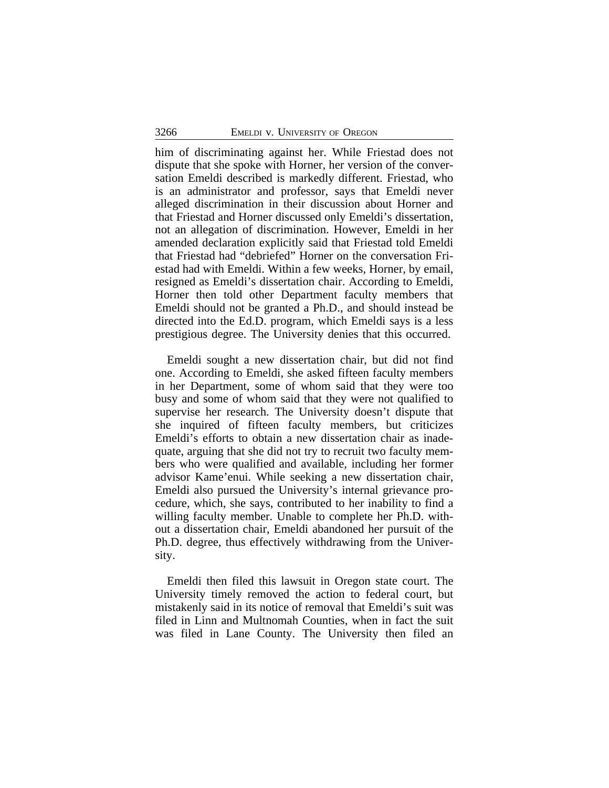him of discriminating against her. While Friestad does not dispute that she spoke with Horner, her version of the conversation Emeldi described is markedly different. Friestad, who is an administrator and professor, says that Emeldi never alleged discrimination in their discussion about Horner and that Friestad and Horner discussed only Emeldi's dissertation, not an allegation of discrimination. However, Emeldi in her amended declaration explicitly said that Friestad told Emeldi that Friestad had "debriefed" Horner on the conversation Friestad had with Emeldi. Within a few weeks, Horner, by email, resigned as Emeldi's dissertation chair. According to Emeldi, Horner then told other Department faculty members that Emeldi should not be granted a Ph.D., and should instead be directed into the Ed.D. program, which Emeldi says is a less prestigious degree. The University denies that this occurred.

Emeldi sought a new dissertation chair, but did not find one. According to Emeldi, she asked fifteen faculty members in her Department, some of whom said that they were too busy and some of whom said that they were not qualified to supervise her research. The University doesn't dispute that she inquired of fifteen faculty members, but criticizes Emeldi's efforts to obtain a new dissertation chair as inadequate, arguing that she did not try to recruit two faculty members who were qualified and available, including her former advisor Kame'enui. While seeking a new dissertation chair, Emeldi also pursued the University's internal grievance procedure, which, she says, contributed to her inability to find a willing faculty member. Unable to complete her Ph.D. without a dissertation chair, Emeldi abandoned her pursuit of the Ph.D. degree, thus effectively withdrawing from the University.

Emeldi then filed this lawsuit in Oregon state court. The University timely removed the action to federal court, but mistakenly said in its notice of removal that Emeldi's suit was filed in Linn and Multnomah Counties, when in fact the suit was filed in Lane County. The University then filed an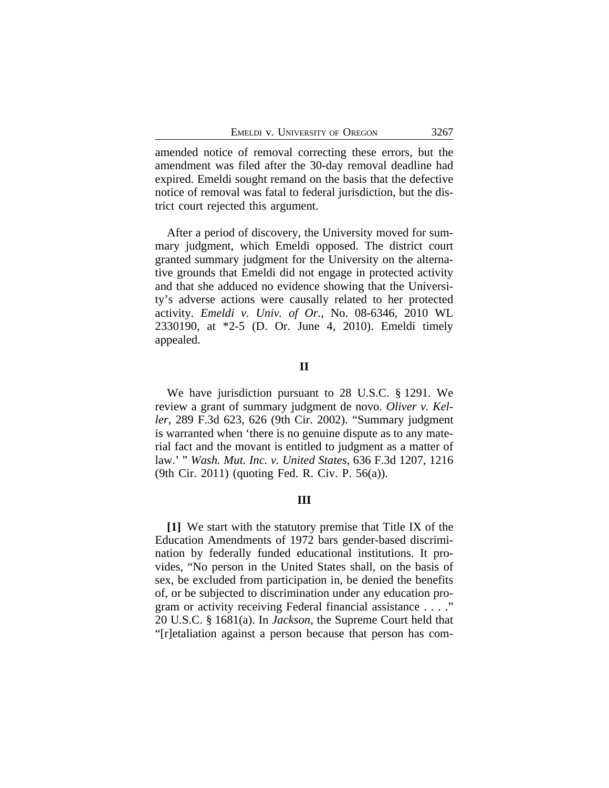amended notice of removal correcting these errors, but the amendment was filed after the 30-day removal deadline had expired. Emeldi sought remand on the basis that the defective notice of removal was fatal to federal jurisdiction, but the district court rejected this argument.

After a period of discovery, the University moved for summary judgment, which Emeldi opposed. The district court granted summary judgment for the University on the alternative grounds that Emeldi did not engage in protected activity and that she adduced no evidence showing that the University's adverse actions were causally related to her protected activity. *Emeldi v. Univ. of Or.*, No. 08-6346, 2010 WL 2330190, at \*2-5 (D. Or. June 4, 2010). Emeldi timely appealed.

## **II**

We have jurisdiction pursuant to 28 U.S.C. § 1291. We review a grant of summary judgment de novo. *Oliver v. Keller*, 289 F.3d 623, 626 (9th Cir. 2002). "Summary judgment is warranted when 'there is no genuine dispute as to any material fact and the movant is entitled to judgment as a matter of law.' " *Wash. Mut. Inc. v. United States*, 636 F.3d 1207, 1216 (9th Cir. 2011) (quoting Fed. R. Civ. P. 56(a)).

## **III**

**[1]** We start with the statutory premise that Title IX of the Education Amendments of 1972 bars gender-based discrimination by federally funded educational institutions. It provides, "No person in the United States shall, on the basis of sex, be excluded from participation in, be denied the benefits of, or be subjected to discrimination under any education program or activity receiving Federal financial assistance . . . ." 20 U.S.C. § 1681(a). In *Jackson*, the Supreme Court held that "[r]etaliation against a person because that person has com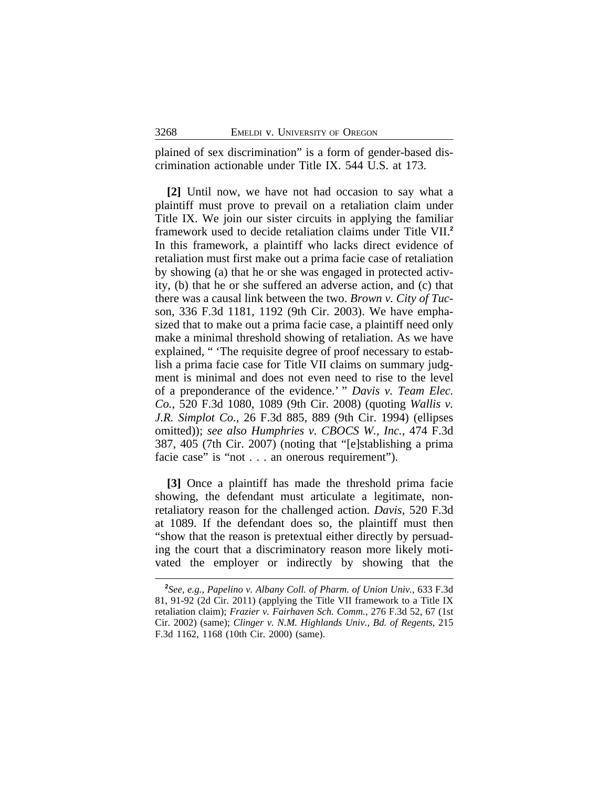plained of sex discrimination" is a form of gender-based discrimination actionable under Title IX. 544 U.S. at 173.

**[2]** Until now, we have not had occasion to say what a plaintiff must prove to prevail on a retaliation claim under Title IX. We join our sister circuits in applying the familiar framework used to decide retaliation claims under Title VII.**<sup>2</sup>** In this framework, a plaintiff who lacks direct evidence of retaliation must first make out a prima facie case of retaliation by showing (a) that he or she was engaged in protected activity, (b) that he or she suffered an adverse action, and (c) that there was a causal link between the two. *Brown v. City of Tuc*son, 336 F.3d 1181, 1192 (9th Cir. 2003). We have emphasized that to make out a prima facie case, a plaintiff need only make a minimal threshold showing of retaliation. As we have explained, " 'The requisite degree of proof necessary to establish a prima facie case for Title VII claims on summary judgment is minimal and does not even need to rise to the level of a preponderance of the evidence.' " *Davis v. Team Elec. Co.*, 520 F.3d 1080, 1089 (9th Cir. 2008) (quoting *Wallis v. J.R. Simplot Co.*, 26 F.3d 885, 889 (9th Cir. 1994) (ellipses omitted)); *see also Humphries v. CBOCS W., Inc.*, 474 F.3d 387, 405 (7th Cir. 2007) (noting that "[e]stablishing a prima facie case" is "not . . . an onerous requirement").

**[3]** Once a plaintiff has made the threshold prima facie showing, the defendant must articulate a legitimate, nonretaliatory reason for the challenged action. *Davis*, 520 F.3d at 1089. If the defendant does so, the plaintiff must then "show that the reason is pretextual either directly by persuading the court that a discriminatory reason more likely motivated the employer or indirectly by showing that the

**<sup>2</sup>** *See, e.g.*, *Papelino v. Albany Coll. of Pharm. of Union Univ.*, 633 F.3d 81, 91-92 (2d Cir. 2011) (applying the Title VII framework to a Title IX retaliation claim); *Frazier v. Fairhaven Sch. Comm.*, 276 F.3d 52, 67 (1st Cir. 2002) (same); *Clinger v. N.M. Highlands Univ., Bd. of Regents*, 215 F.3d 1162, 1168 (10th Cir. 2000) (same).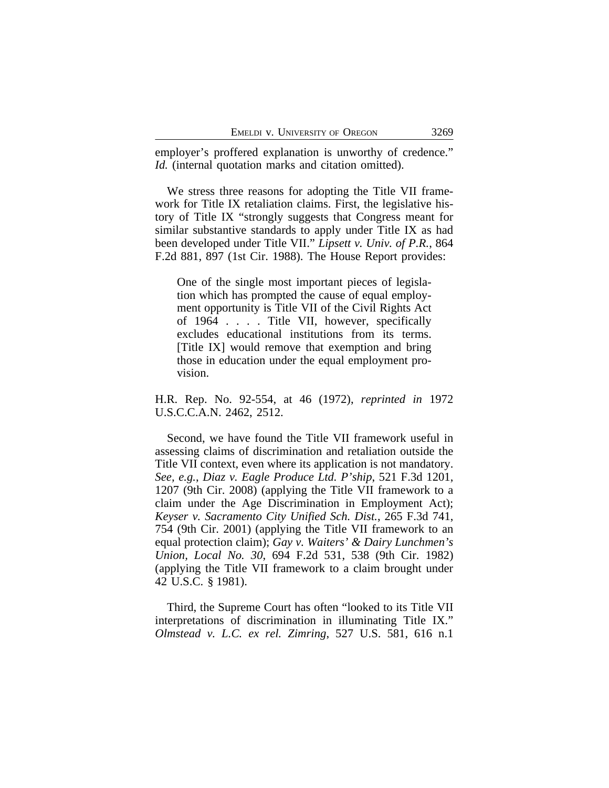employer's proffered explanation is unworthy of credence." *Id.* (internal quotation marks and citation omitted).

We stress three reasons for adopting the Title VII framework for Title IX retaliation claims. First, the legislative history of Title IX "strongly suggests that Congress meant for similar substantive standards to apply under Title IX as had been developed under Title VII." *Lipsett v. Univ. of P.R.*, 864 F.2d 881, 897 (1st Cir. 1988). The House Report provides:

One of the single most important pieces of legislation which has prompted the cause of equal employment opportunity is Title VII of the Civil Rights Act of 1964 . . . . Title VII, however, specifically excludes educational institutions from its terms. [Title IX] would remove that exemption and bring those in education under the equal employment provision.

H.R. Rep. No. 92-554, at 46 (1972), *reprinted in* 1972 U.S.C.C.A.N. 2462, 2512.

Second, we have found the Title VII framework useful in assessing claims of discrimination and retaliation outside the Title VII context, even where its application is not mandatory. *See, e.g.*, *Diaz v. Eagle Produce Ltd. P'ship*, 521 F.3d 1201, 1207 (9th Cir. 2008) (applying the Title VII framework to a claim under the Age Discrimination in Employment Act); *Keyser v. Sacramento City Unified Sch. Dist.*, 265 F.3d 741, 754 (9th Cir. 2001) (applying the Title VII framework to an equal protection claim); *Gay v. Waiters' & Dairy Lunchmen's Union, Local No. 30*, 694 F.2d 531, 538 (9th Cir. 1982) (applying the Title VII framework to a claim brought under 42 U.S.C. § 1981).

Third, the Supreme Court has often "looked to its Title VII interpretations of discrimination in illuminating Title IX." *Olmstead v. L.C. ex rel. Zimring*, 527 U.S. 581, 616 n.1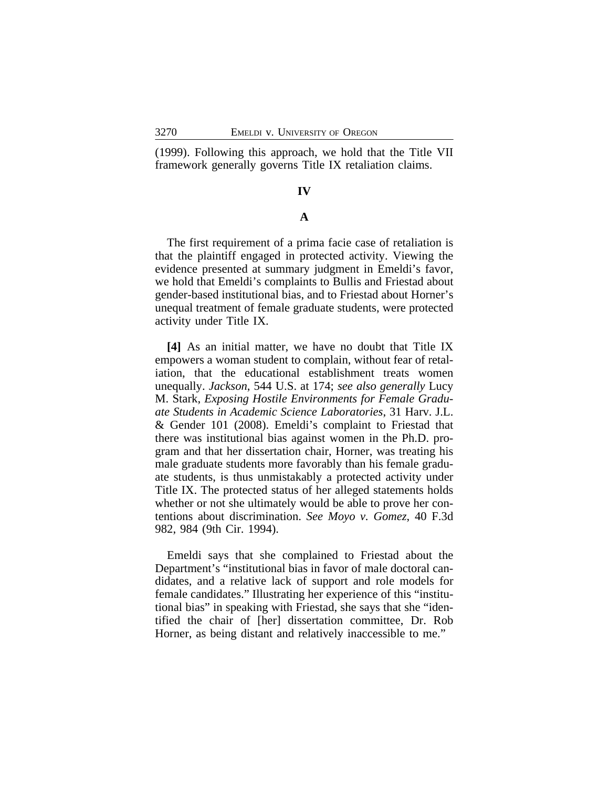(1999). Following this approach, we hold that the Title VII framework generally governs Title IX retaliation claims.

### **IV**

#### **A**

The first requirement of a prima facie case of retaliation is that the plaintiff engaged in protected activity. Viewing the evidence presented at summary judgment in Emeldi's favor, we hold that Emeldi's complaints to Bullis and Friestad about gender-based institutional bias, and to Friestad about Horner's unequal treatment of female graduate students, were protected activity under Title IX.

**[4]** As an initial matter, we have no doubt that Title IX empowers a woman student to complain, without fear of retaliation, that the educational establishment treats women unequally. *Jackson*, 544 U.S. at 174; *see also generally* Lucy M. Stark, *Exposing Hostile Environments for Female Graduate Students in Academic Science Laboratories*, 31 Harv. J.L. & Gender 101 (2008). Emeldi's complaint to Friestad that there was institutional bias against women in the Ph.D. program and that her dissertation chair, Horner, was treating his male graduate students more favorably than his female graduate students, is thus unmistakably a protected activity under Title IX. The protected status of her alleged statements holds whether or not she ultimately would be able to prove her contentions about discrimination. *See Moyo v. Gomez*, 40 F.3d 982, 984 (9th Cir. 1994).

Emeldi says that she complained to Friestad about the Department's "institutional bias in favor of male doctoral candidates, and a relative lack of support and role models for female candidates." Illustrating her experience of this "institutional bias" in speaking with Friestad, she says that she "identified the chair of [her] dissertation committee, Dr. Rob Horner, as being distant and relatively inaccessible to me."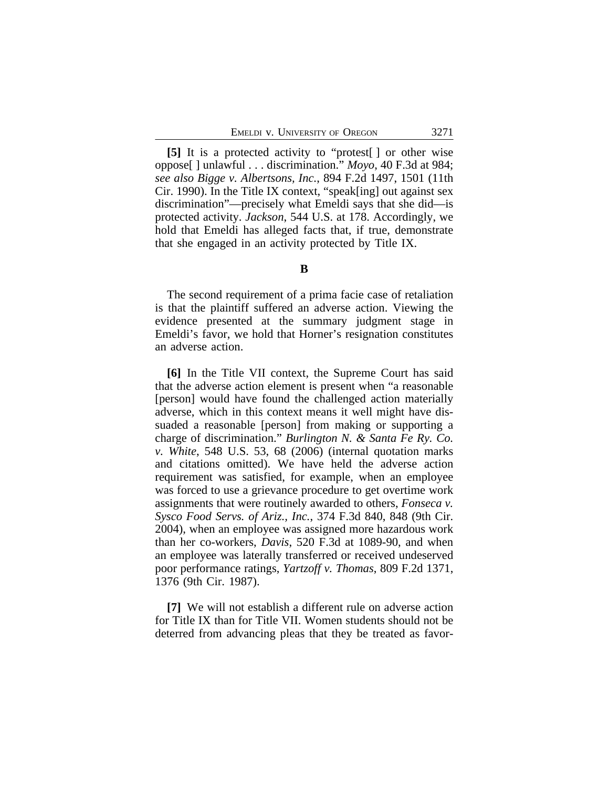**[5]** It is a protected activity to "protest[ ] or other wise oppose[ ] unlawful . . . discrimination." *Moyo*, 40 F.3d at 984; *see also Bigge v. Albertsons, Inc.*, 894 F.2d 1497, 1501 (11th Cir. 1990). In the Title IX context, "speak[ing] out against sex discrimination"—precisely what Emeldi says that she did—is protected activity. *Jackson*, 544 U.S. at 178. Accordingly, we hold that Emeldi has alleged facts that, if true, demonstrate that she engaged in an activity protected by Title IX.

#### **B**

The second requirement of a prima facie case of retaliation is that the plaintiff suffered an adverse action. Viewing the evidence presented at the summary judgment stage in Emeldi's favor, we hold that Horner's resignation constitutes an adverse action.

**[6]** In the Title VII context, the Supreme Court has said that the adverse action element is present when "a reasonable [person] would have found the challenged action materially adverse, which in this context means it well might have dissuaded a reasonable [person] from making or supporting a charge of discrimination." *Burlington N. & Santa Fe Ry. Co. v. White*, 548 U.S. 53, 68 (2006) (internal quotation marks and citations omitted). We have held the adverse action requirement was satisfied, for example, when an employee was forced to use a grievance procedure to get overtime work assignments that were routinely awarded to others, *Fonseca v. Sysco Food Servs. of Ariz., Inc.*, 374 F.3d 840, 848 (9th Cir. 2004), when an employee was assigned more hazardous work than her co-workers, *Davis*, 520 F.3d at 1089-90, and when an employee was laterally transferred or received undeserved poor performance ratings, *Yartzoff v. Thomas*, 809 F.2d 1371, 1376 (9th Cir. 1987).

**[7]** We will not establish a different rule on adverse action for Title IX than for Title VII. Women students should not be deterred from advancing pleas that they be treated as favor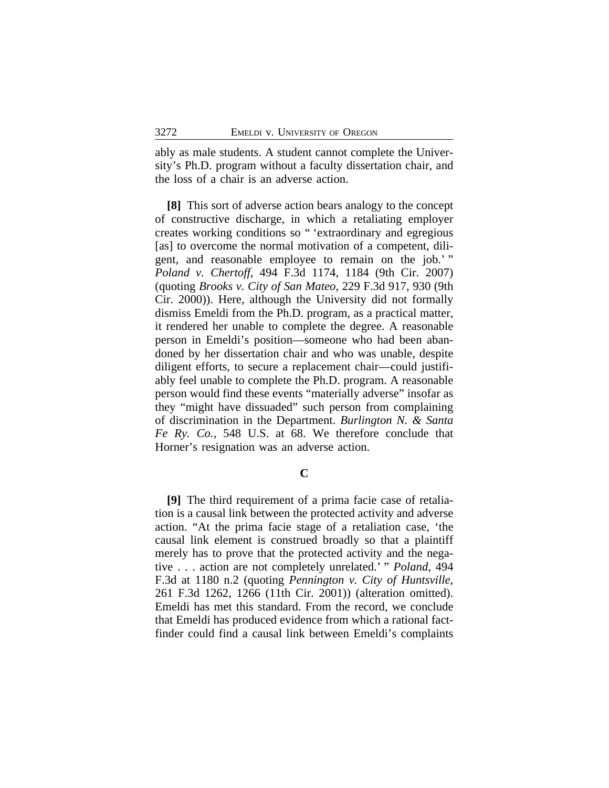ably as male students. A student cannot complete the University's Ph.D. program without a faculty dissertation chair, and the loss of a chair is an adverse action.

**[8]** This sort of adverse action bears analogy to the concept of constructive discharge, in which a retaliating employer creates working conditions so " 'extraordinary and egregious [as] to overcome the normal motivation of a competent, diligent, and reasonable employee to remain on the job.'" *Poland v. Chertoff*, 494 F.3d 1174, 1184 (9th Cir. 2007) (quoting *Brooks v. City of San Mateo*, 229 F.3d 917, 930 (9th Cir. 2000)). Here, although the University did not formally dismiss Emeldi from the Ph.D. program, as a practical matter, it rendered her unable to complete the degree. A reasonable person in Emeldi's position—someone who had been abandoned by her dissertation chair and who was unable, despite diligent efforts, to secure a replacement chair—could justifiably feel unable to complete the Ph.D. program. A reasonable person would find these events "materially adverse" insofar as they "might have dissuaded" such person from complaining of discrimination in the Department. *Burlington N. & Santa Fe Ry. Co.*, 548 U.S. at 68. We therefore conclude that Horner's resignation was an adverse action.

**C**

**[9]** The third requirement of a prima facie case of retaliation is a causal link between the protected activity and adverse action. "At the prima facie stage of a retaliation case, 'the causal link element is construed broadly so that a plaintiff merely has to prove that the protected activity and the negative . . . action are not completely unrelated.' " *Poland*, 494 F.3d at 1180 n.2 (quoting *Pennington v. City of Huntsville*, 261 F.3d 1262, 1266 (11th Cir. 2001)) (alteration omitted). Emeldi has met this standard. From the record, we conclude that Emeldi has produced evidence from which a rational factfinder could find a causal link between Emeldi's complaints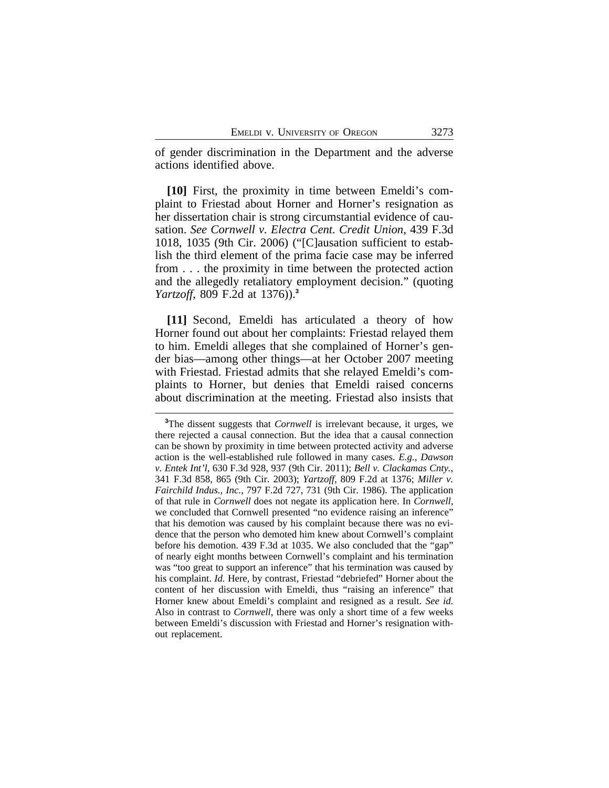of gender discrimination in the Department and the adverse actions identified above.

**[10]** First, the proximity in time between Emeldi's complaint to Friestad about Horner and Horner's resignation as her dissertation chair is strong circumstantial evidence of causation. *See Cornwell v. Electra Cent. Credit Union*, 439 F.3d 1018, 1035 (9th Cir. 2006) ("[C]ausation sufficient to establish the third element of the prima facie case may be inferred from . . . the proximity in time between the protected action and the allegedly retaliatory employment decision." (quoting *Yartzoff*, 809 F.2d at 1376)).**<sup>3</sup>**

**[11]** Second, Emeldi has articulated a theory of how Horner found out about her complaints: Friestad relayed them to him. Emeldi alleges that she complained of Horner's gender bias—among other things—at her October 2007 meeting with Friestad. Friestad admits that she relayed Emeldi's complaints to Horner, but denies that Emeldi raised concerns about discrimination at the meeting. Friestad also insists that

**<sup>3</sup>**The dissent suggests that *Cornwell* is irrelevant because, it urges, we there rejected a causal connection. But the idea that a causal connection can be shown by proximity in time between protected activity and adverse action is the well-established rule followed in many cases. *E.g.*, *Dawson v. Entek Int'l*, 630 F.3d 928, 937 (9th Cir. 2011); *Bell v. Clackamas Cnty.*, 341 F.3d 858, 865 (9th Cir. 2003); *Yartzoff*, 809 F.2d at 1376; *Miller v. Fairchild Indus., Inc.*, 797 F.2d 727, 731 (9th Cir. 1986). The application of that rule in *Cornwell* does not negate its application here. In *Cornwell*, we concluded that Cornwell presented "no evidence raising an inference" that his demotion was caused by his complaint because there was no evidence that the person who demoted him knew about Cornwell's complaint before his demotion. 439 F.3d at 1035. We also concluded that the "gap" of nearly eight months between Cornwell's complaint and his termination was "too great to support an inference" that his termination was caused by his complaint. *Id.* Here, by contrast, Friestad "debriefed" Horner about the content of her discussion with Emeldi, thus "raising an inference" that Horner knew about Emeldi's complaint and resigned as a result. *See id.* Also in contrast to *Cornwell*, there was only a short time of a few weeks between Emeldi's discussion with Friestad and Horner's resignation without replacement.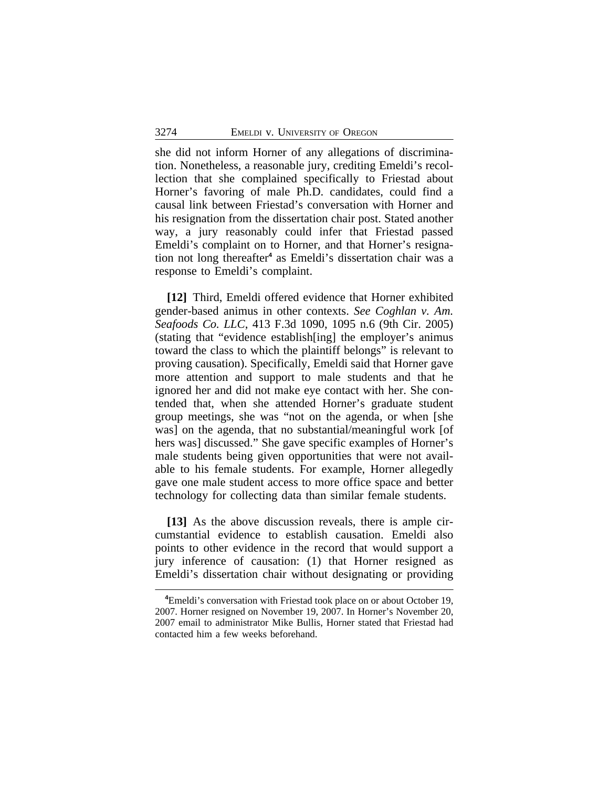she did not inform Horner of any allegations of discrimination. Nonetheless, a reasonable jury, crediting Emeldi's recollection that she complained specifically to Friestad about Horner's favoring of male Ph.D. candidates, could find a causal link between Friestad's conversation with Horner and his resignation from the dissertation chair post. Stated another way, a jury reasonably could infer that Friestad passed Emeldi's complaint on to Horner, and that Horner's resignation not long thereafter**<sup>4</sup>** as Emeldi's dissertation chair was a response to Emeldi's complaint.

**[12]** Third, Emeldi offered evidence that Horner exhibited gender-based animus in other contexts. *See Coghlan v. Am. Seafoods Co. LLC*, 413 F.3d 1090, 1095 n.6 (9th Cir. 2005) (stating that "evidence establish[ing] the employer's animus toward the class to which the plaintiff belongs" is relevant to proving causation). Specifically, Emeldi said that Horner gave more attention and support to male students and that he ignored her and did not make eye contact with her. She contended that, when she attended Horner's graduate student group meetings, she was "not on the agenda, or when [she was] on the agenda, that no substantial/meaningful work [of hers was] discussed." She gave specific examples of Horner's male students being given opportunities that were not available to his female students. For example, Horner allegedly gave one male student access to more office space and better technology for collecting data than similar female students.

**[13]** As the above discussion reveals, there is ample circumstantial evidence to establish causation. Emeldi also points to other evidence in the record that would support a jury inference of causation: (1) that Horner resigned as Emeldi's dissertation chair without designating or providing

**<sup>4</sup>**Emeldi's conversation with Friestad took place on or about October 19, 2007. Horner resigned on November 19, 2007. In Horner's November 20, 2007 email to administrator Mike Bullis, Horner stated that Friestad had contacted him a few weeks beforehand.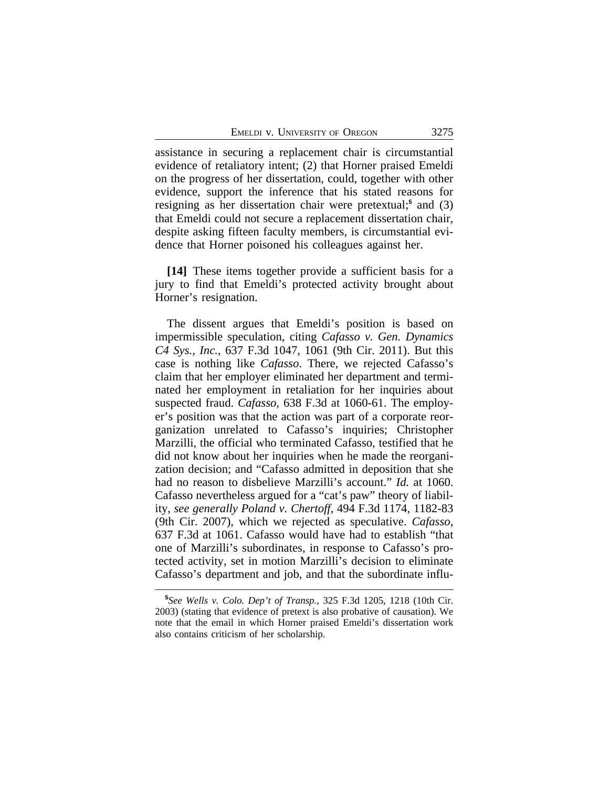assistance in securing a replacement chair is circumstantial evidence of retaliatory intent; (2) that Horner praised Emeldi on the progress of her dissertation, could, together with other evidence, support the inference that his stated reasons for resigning as her dissertation chair were pretextual;<sup>5</sup> and (3) that Emeldi could not secure a replacement dissertation chair, despite asking fifteen faculty members, is circumstantial evidence that Horner poisoned his colleagues against her.

**[14]** These items together provide a sufficient basis for a jury to find that Emeldi's protected activity brought about Horner's resignation.

The dissent argues that Emeldi's position is based on impermissible speculation, citing *Cafasso v. Gen. Dynamics C4 Sys., Inc.*, 637 F.3d 1047, 1061 (9th Cir. 2011). But this case is nothing like *Cafasso*. There, we rejected Cafasso's claim that her employer eliminated her department and terminated her employment in retaliation for her inquiries about suspected fraud. *Cafasso*, 638 F.3d at 1060-61. The employer's position was that the action was part of a corporate reorganization unrelated to Cafasso's inquiries; Christopher Marzilli, the official who terminated Cafasso, testified that he did not know about her inquiries when he made the reorganization decision; and "Cafasso admitted in deposition that she had no reason to disbelieve Marzilli's account." *Id.* at 1060. Cafasso nevertheless argued for a "cat's paw" theory of liability, *see generally Poland v. Chertoff*, 494 F.3d 1174, 1182-83 (9th Cir. 2007), which we rejected as speculative. *Cafasso*, 637 F.3d at 1061. Cafasso would have had to establish "that one of Marzilli's subordinates, in response to Cafasso's protected activity, set in motion Marzilli's decision to eliminate Cafasso's department and job, and that the subordinate influ-

**<sup>5</sup>** *See Wells v. Colo. Dep't of Transp.*, 325 F.3d 1205, 1218 (10th Cir. 2003) (stating that evidence of pretext is also probative of causation). We note that the email in which Horner praised Emeldi's dissertation work also contains criticism of her scholarship.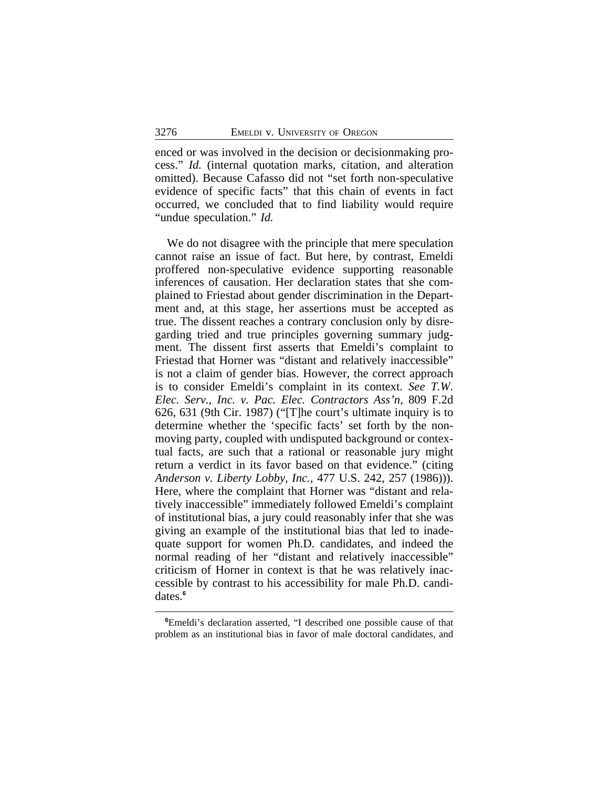enced or was involved in the decision or decisionmaking process." *Id.* (internal quotation marks, citation, and alteration omitted). Because Cafasso did not "set forth non-speculative evidence of specific facts" that this chain of events in fact occurred, we concluded that to find liability would require "undue speculation." *Id.*

We do not disagree with the principle that mere speculation cannot raise an issue of fact. But here, by contrast, Emeldi proffered non-speculative evidence supporting reasonable inferences of causation. Her declaration states that she complained to Friestad about gender discrimination in the Department and, at this stage, her assertions must be accepted as true. The dissent reaches a contrary conclusion only by disregarding tried and true principles governing summary judgment. The dissent first asserts that Emeldi's complaint to Friestad that Horner was "distant and relatively inaccessible" is not a claim of gender bias. However, the correct approach is to consider Emeldi's complaint in its context. *See T.W. Elec. Serv., Inc. v. Pac. Elec. Contractors Ass'n*, 809 F.2d 626, 631 (9th Cir. 1987) ("[T]he court's ultimate inquiry is to determine whether the 'specific facts' set forth by the nonmoving party, coupled with undisputed background or contextual facts, are such that a rational or reasonable jury might return a verdict in its favor based on that evidence." (citing *Anderson v. Liberty Lobby, Inc.*, 477 U.S. 242, 257 (1986))). Here, where the complaint that Horner was "distant and relatively inaccessible" immediately followed Emeldi's complaint of institutional bias, a jury could reasonably infer that she was giving an example of the institutional bias that led to inadequate support for women Ph.D. candidates, and indeed the normal reading of her "distant and relatively inaccessible" criticism of Horner in context is that he was relatively inaccessible by contrast to his accessibility for male Ph.D. candidates.**<sup>6</sup>**

**<sup>6</sup>**Emeldi's declaration asserted, "I described one possible cause of that problem as an institutional bias in favor of male doctoral candidates, and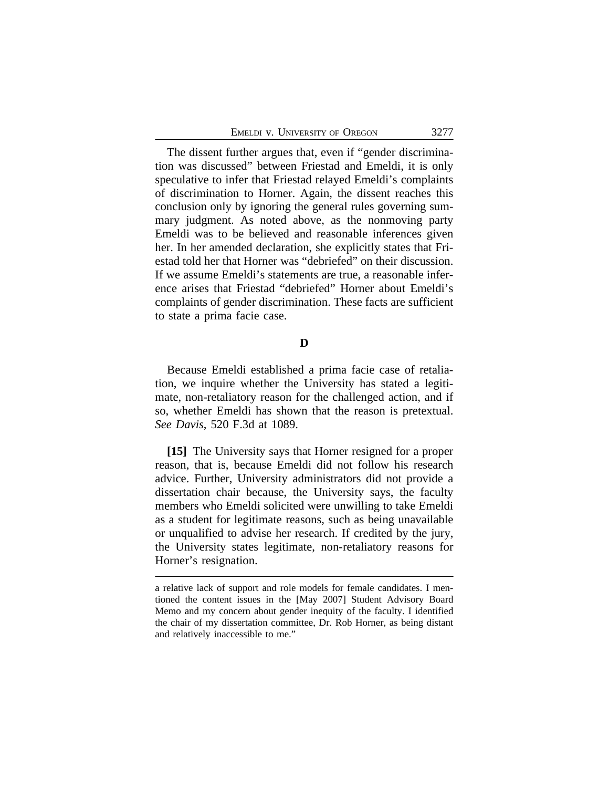The dissent further argues that, even if "gender discrimination was discussed" between Friestad and Emeldi, it is only speculative to infer that Friestad relayed Emeldi's complaints of discrimination to Horner. Again, the dissent reaches this conclusion only by ignoring the general rules governing summary judgment. As noted above, as the nonmoving party Emeldi was to be believed and reasonable inferences given her. In her amended declaration, she explicitly states that Friestad told her that Horner was "debriefed" on their discussion. If we assume Emeldi's statements are true, a reasonable inference arises that Friestad "debriefed" Horner about Emeldi's complaints of gender discrimination. These facts are sufficient to state a prima facie case.

#### **D**

Because Emeldi established a prima facie case of retaliation, we inquire whether the University has stated a legitimate, non-retaliatory reason for the challenged action, and if so, whether Emeldi has shown that the reason is pretextual. *See Davis*, 520 F.3d at 1089.

**[15]** The University says that Horner resigned for a proper reason, that is, because Emeldi did not follow his research advice. Further, University administrators did not provide a dissertation chair because, the University says, the faculty members who Emeldi solicited were unwilling to take Emeldi as a student for legitimate reasons, such as being unavailable or unqualified to advise her research. If credited by the jury, the University states legitimate, non-retaliatory reasons for Horner's resignation.

a relative lack of support and role models for female candidates. I mentioned the content issues in the [May 2007] Student Advisory Board Memo and my concern about gender inequity of the faculty. I identified the chair of my dissertation committee, Dr. Rob Horner, as being distant and relatively inaccessible to me."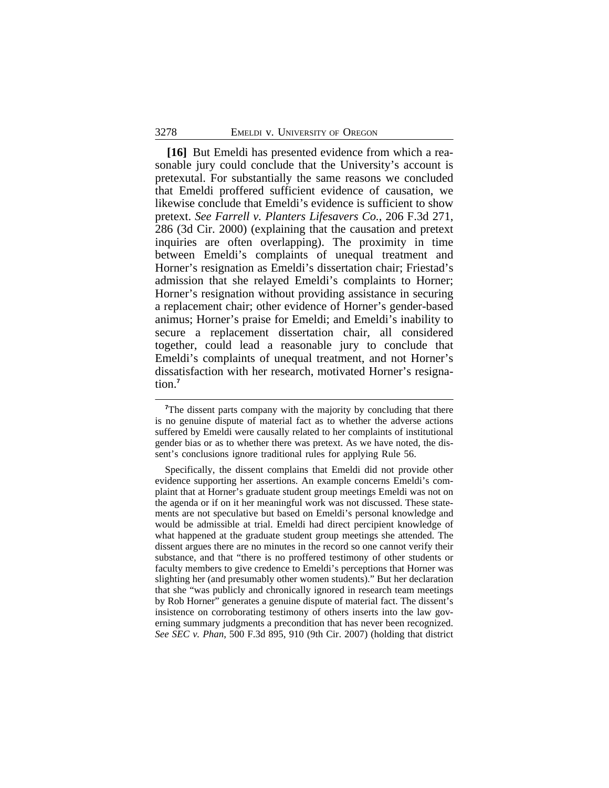**[16]** But Emeldi has presented evidence from which a reasonable jury could conclude that the University's account is pretexutal. For substantially the same reasons we concluded that Emeldi proffered sufficient evidence of causation, we likewise conclude that Emeldi's evidence is sufficient to show pretext. *See Farrell v. Planters Lifesavers Co.*, 206 F.3d 271, 286 (3d Cir. 2000) (explaining that the causation and pretext inquiries are often overlapping). The proximity in time between Emeldi's complaints of unequal treatment and Horner's resignation as Emeldi's dissertation chair; Friestad's admission that she relayed Emeldi's complaints to Horner; Horner's resignation without providing assistance in securing a replacement chair; other evidence of Horner's gender-based animus; Horner's praise for Emeldi; and Emeldi's inability to secure a replacement dissertation chair, all considered together, could lead a reasonable jury to conclude that Emeldi's complaints of unequal treatment, and not Horner's dissatisfaction with her research, motivated Horner's resignation.**<sup>7</sup>**

<sup>&</sup>lt;sup>7</sup>The dissent parts company with the majority by concluding that there is no genuine dispute of material fact as to whether the adverse actions suffered by Emeldi were causally related to her complaints of institutional gender bias or as to whether there was pretext. As we have noted, the dissent's conclusions ignore traditional rules for applying Rule 56.

Specifically, the dissent complains that Emeldi did not provide other evidence supporting her assertions. An example concerns Emeldi's complaint that at Horner's graduate student group meetings Emeldi was not on the agenda or if on it her meaningful work was not discussed. These statements are not speculative but based on Emeldi's personal knowledge and would be admissible at trial. Emeldi had direct percipient knowledge of what happened at the graduate student group meetings she attended. The dissent argues there are no minutes in the record so one cannot verify their substance, and that "there is no proffered testimony of other students or faculty members to give credence to Emeldi's perceptions that Horner was slighting her (and presumably other women students)." But her declaration that she "was publicly and chronically ignored in research team meetings by Rob Horner" generates a genuine dispute of material fact. The dissent's insistence on corroborating testimony of others inserts into the law governing summary judgments a precondition that has never been recognized. *See SEC v. Phan*, 500 F.3d 895, 910 (9th Cir. 2007) (holding that district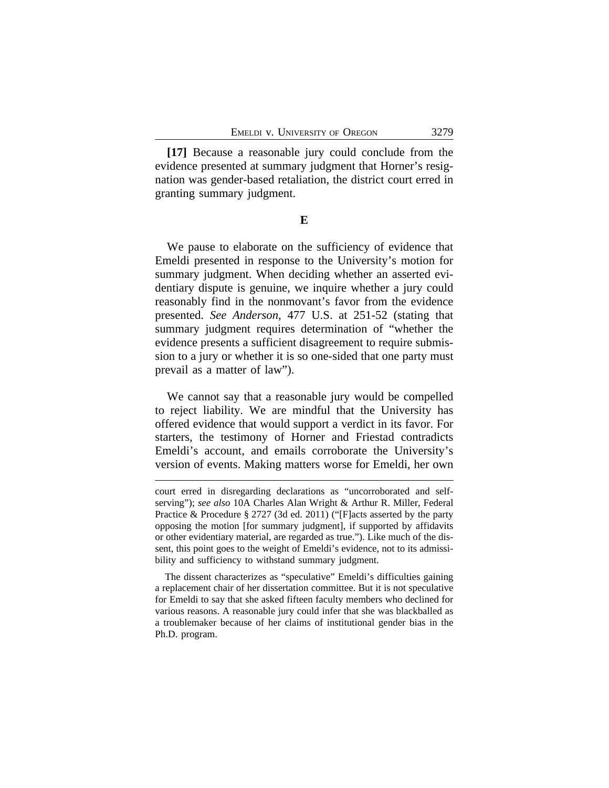**[17]** Because a reasonable jury could conclude from the evidence presented at summary judgment that Horner's resignation was gender-based retaliation, the district court erred in granting summary judgment.

**E**

We pause to elaborate on the sufficiency of evidence that Emeldi presented in response to the University's motion for summary judgment. When deciding whether an asserted evidentiary dispute is genuine, we inquire whether a jury could reasonably find in the nonmovant's favor from the evidence presented. *See Anderson*, 477 U.S. at 251-52 (stating that summary judgment requires determination of "whether the evidence presents a sufficient disagreement to require submission to a jury or whether it is so one-sided that one party must prevail as a matter of law").

We cannot say that a reasonable jury would be compelled to reject liability. We are mindful that the University has offered evidence that would support a verdict in its favor. For starters, the testimony of Horner and Friestad contradicts Emeldi's account, and emails corroborate the University's version of events. Making matters worse for Emeldi, her own

court erred in disregarding declarations as "uncorroborated and selfserving"); *see also* 10A Charles Alan Wright & Arthur R. Miller, Federal Practice & Procedure § 2727 (3d ed. 2011) ("[F]acts asserted by the party opposing the motion [for summary judgment], if supported by affidavits or other evidentiary material, are regarded as true."). Like much of the dissent, this point goes to the weight of Emeldi's evidence, not to its admissibility and sufficiency to withstand summary judgment.

The dissent characterizes as "speculative" Emeldi's difficulties gaining a replacement chair of her dissertation committee. But it is not speculative for Emeldi to say that she asked fifteen faculty members who declined for various reasons. A reasonable jury could infer that she was blackballed as a troublemaker because of her claims of institutional gender bias in the Ph.D. program.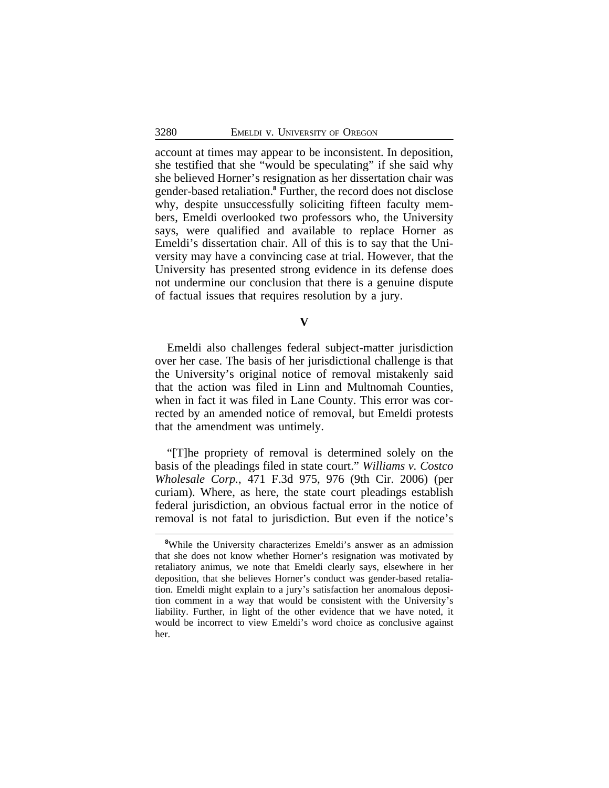account at times may appear to be inconsistent. In deposition, she testified that she "would be speculating" if she said why she believed Horner's resignation as her dissertation chair was gender-based retaliation.**<sup>8</sup>** Further, the record does not disclose why, despite unsuccessfully soliciting fifteen faculty members, Emeldi overlooked two professors who, the University says, were qualified and available to replace Horner as Emeldi's dissertation chair. All of this is to say that the University may have a convincing case at trial. However, that the University has presented strong evidence in its defense does not undermine our conclusion that there is a genuine dispute of factual issues that requires resolution by a jury.

**V**

Emeldi also challenges federal subject-matter jurisdiction over her case. The basis of her jurisdictional challenge is that the University's original notice of removal mistakenly said that the action was filed in Linn and Multnomah Counties, when in fact it was filed in Lane County. This error was corrected by an amended notice of removal, but Emeldi protests that the amendment was untimely.

"[T]he propriety of removal is determined solely on the basis of the pleadings filed in state court." *Williams v. Costco Wholesale Corp.*, 471 F.3d 975, 976 (9th Cir. 2006) (per curiam). Where, as here, the state court pleadings establish federal jurisdiction, an obvious factual error in the notice of removal is not fatal to jurisdiction. But even if the notice's

**<sup>8</sup>**While the University characterizes Emeldi's answer as an admission that she does not know whether Horner's resignation was motivated by retaliatory animus, we note that Emeldi clearly says, elsewhere in her deposition, that she believes Horner's conduct was gender-based retaliation. Emeldi might explain to a jury's satisfaction her anomalous deposition comment in a way that would be consistent with the University's liability. Further, in light of the other evidence that we have noted, it would be incorrect to view Emeldi's word choice as conclusive against her.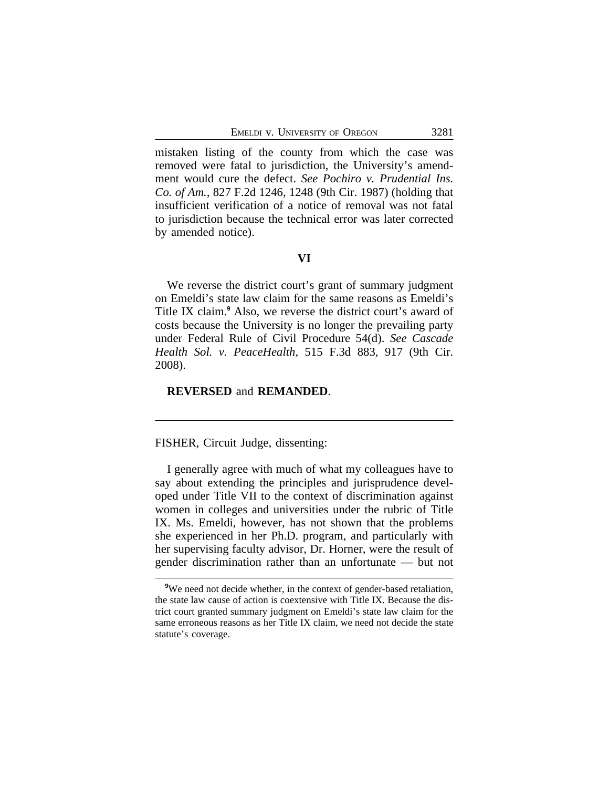mistaken listing of the county from which the case was removed were fatal to jurisdiction, the University's amendment would cure the defect. *See Pochiro v. Prudential Ins. Co. of Am.*, 827 F.2d 1246, 1248 (9th Cir. 1987) (holding that insufficient verification of a notice of removal was not fatal to jurisdiction because the technical error was later corrected by amended notice).

# **VI**

We reverse the district court's grant of summary judgment on Emeldi's state law claim for the same reasons as Emeldi's Title IX claim.**<sup>9</sup>** Also, we reverse the district court's award of costs because the University is no longer the prevailing party under Federal Rule of Civil Procedure 54(d). *See Cascade Health Sol. v. PeaceHealth*, 515 F.3d 883, 917 (9th Cir. 2008).

#### **REVERSED** and **REMANDED**.

FISHER, Circuit Judge, dissenting:

I generally agree with much of what my colleagues have to say about extending the principles and jurisprudence developed under Title VII to the context of discrimination against women in colleges and universities under the rubric of Title IX. Ms. Emeldi, however, has not shown that the problems she experienced in her Ph.D. program, and particularly with her supervising faculty advisor, Dr. Horner, were the result of gender discrimination rather than an unfortunate — but not

<sup>&</sup>lt;sup>9</sup>We need not decide whether, in the context of gender-based retaliation, the state law cause of action is coextensive with Title IX. Because the district court granted summary judgment on Emeldi's state law claim for the same erroneous reasons as her Title IX claim, we need not decide the state statute's coverage.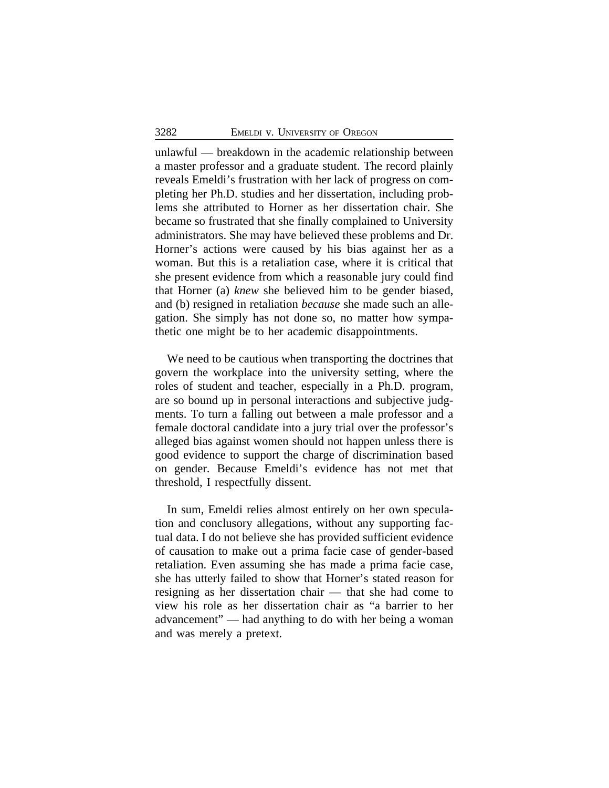unlawful — breakdown in the academic relationship between a master professor and a graduate student. The record plainly reveals Emeldi's frustration with her lack of progress on completing her Ph.D. studies and her dissertation, including problems she attributed to Horner as her dissertation chair. She became so frustrated that she finally complained to University administrators. She may have believed these problems and Dr. Horner's actions were caused by his bias against her as a woman. But this is a retaliation case, where it is critical that she present evidence from which a reasonable jury could find that Horner (a) *knew* she believed him to be gender biased, and (b) resigned in retaliation *because* she made such an allegation. She simply has not done so, no matter how sympathetic one might be to her academic disappointments.

We need to be cautious when transporting the doctrines that govern the workplace into the university setting, where the roles of student and teacher, especially in a Ph.D. program, are so bound up in personal interactions and subjective judgments. To turn a falling out between a male professor and a female doctoral candidate into a jury trial over the professor's alleged bias against women should not happen unless there is good evidence to support the charge of discrimination based on gender. Because Emeldi's evidence has not met that threshold, I respectfully dissent.

In sum, Emeldi relies almost entirely on her own speculation and conclusory allegations, without any supporting factual data. I do not believe she has provided sufficient evidence of causation to make out a prima facie case of gender-based retaliation. Even assuming she has made a prima facie case, she has utterly failed to show that Horner's stated reason for resigning as her dissertation chair — that she had come to view his role as her dissertation chair as "a barrier to her advancement" — had anything to do with her being a woman and was merely a pretext.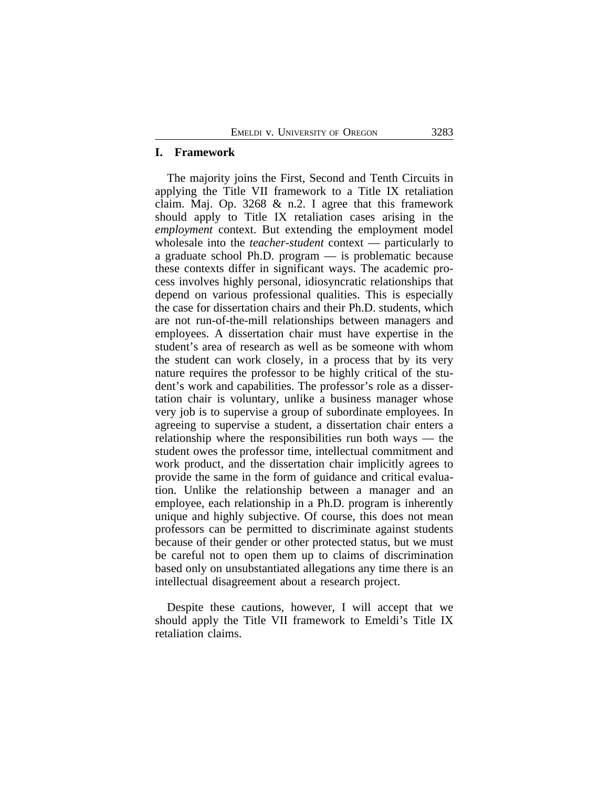# **I. Framework**

The majority joins the First, Second and Tenth Circuits in applying the Title VII framework to a Title IX retaliation claim. Maj. Op. 3268 & n.2. I agree that this framework should apply to Title IX retaliation cases arising in the *employment* context. But extending the employment model wholesale into the *teacher-student* context — particularly to a graduate school Ph.D. program — is problematic because these contexts differ in significant ways. The academic process involves highly personal, idiosyncratic relationships that depend on various professional qualities. This is especially the case for dissertation chairs and their Ph.D. students, which are not run-of-the-mill relationships between managers and employees. A dissertation chair must have expertise in the student's area of research as well as be someone with whom the student can work closely, in a process that by its very nature requires the professor to be highly critical of the student's work and capabilities. The professor's role as a dissertation chair is voluntary, unlike a business manager whose very job is to supervise a group of subordinate employees. In agreeing to supervise a student, a dissertation chair enters a relationship where the responsibilities run both ways — the student owes the professor time, intellectual commitment and work product, and the dissertation chair implicitly agrees to provide the same in the form of guidance and critical evaluation. Unlike the relationship between a manager and an employee, each relationship in a Ph.D. program is inherently unique and highly subjective. Of course, this does not mean professors can be permitted to discriminate against students because of their gender or other protected status, but we must be careful not to open them up to claims of discrimination based only on unsubstantiated allegations any time there is an intellectual disagreement about a research project.

Despite these cautions, however, I will accept that we should apply the Title VII framework to Emeldi's Title IX retaliation claims.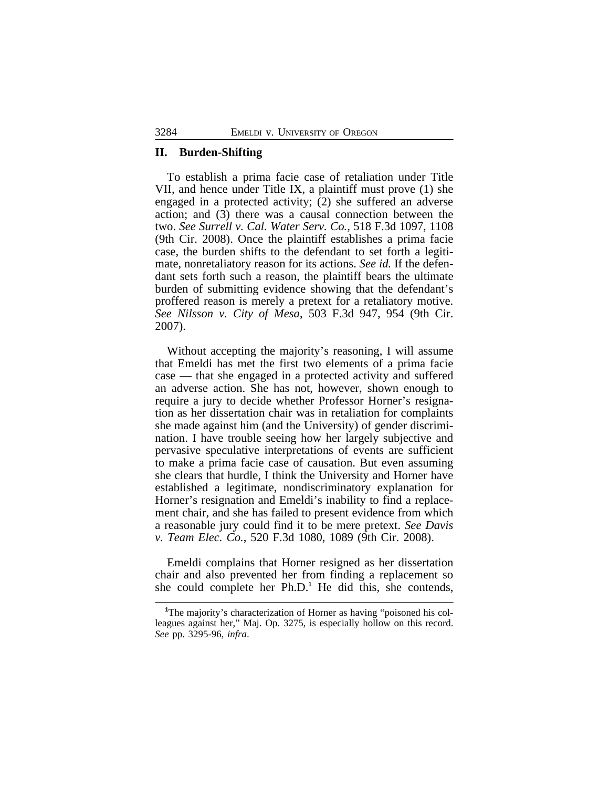#### **II. Burden-Shifting**

To establish a prima facie case of retaliation under Title VII, and hence under Title IX, a plaintiff must prove (1) she engaged in a protected activity; (2) she suffered an adverse action; and (3) there was a causal connection between the two. *See Surrell v. Cal. Water Serv. Co.*, 518 F.3d 1097, 1108 (9th Cir. 2008). Once the plaintiff establishes a prima facie case, the burden shifts to the defendant to set forth a legitimate, nonretaliatory reason for its actions. *See id.* If the defendant sets forth such a reason, the plaintiff bears the ultimate burden of submitting evidence showing that the defendant's proffered reason is merely a pretext for a retaliatory motive. *See Nilsson v. City of Mesa*, 503 F.3d 947, 954 (9th Cir. 2007).

Without accepting the majority's reasoning, I will assume that Emeldi has met the first two elements of a prima facie case — that she engaged in a protected activity and suffered an adverse action. She has not, however, shown enough to require a jury to decide whether Professor Horner's resignation as her dissertation chair was in retaliation for complaints she made against him (and the University) of gender discrimination. I have trouble seeing how her largely subjective and pervasive speculative interpretations of events are sufficient to make a prima facie case of causation. But even assuming she clears that hurdle, I think the University and Horner have established a legitimate, nondiscriminatory explanation for Horner's resignation and Emeldi's inability to find a replacement chair, and she has failed to present evidence from which a reasonable jury could find it to be mere pretext. *See Davis v. Team Elec. Co.*, 520 F.3d 1080, 1089 (9th Cir. 2008).

Emeldi complains that Horner resigned as her dissertation chair and also prevented her from finding a replacement so she could complete her Ph.D.<sup>1</sup> He did this, she contends,

<sup>&</sup>lt;sup>1</sup>The majority's characterization of Horner as having "poisoned his colleagues against her," Maj. Op. 3275, is especially hollow on this record. *See* pp. 3295-96, *infra*.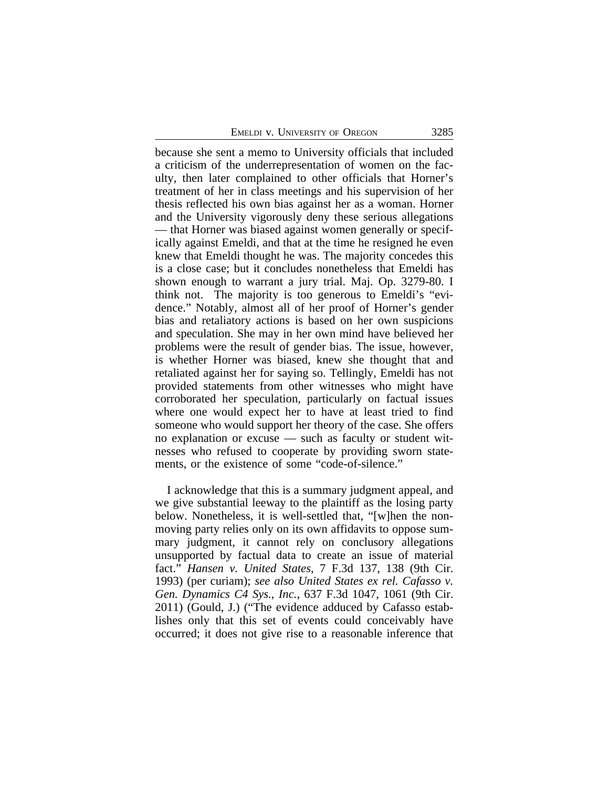because she sent a memo to University officials that included a criticism of the underrepresentation of women on the faculty, then later complained to other officials that Horner's treatment of her in class meetings and his supervision of her thesis reflected his own bias against her as a woman. Horner and the University vigorously deny these serious allegations — that Horner was biased against women generally or specifically against Emeldi, and that at the time he resigned he even knew that Emeldi thought he was. The majority concedes this is a close case; but it concludes nonetheless that Emeldi has shown enough to warrant a jury trial. Maj. Op. 3279-80. I think not. The majority is too generous to Emeldi's "evidence." Notably, almost all of her proof of Horner's gender bias and retaliatory actions is based on her own suspicions and speculation. She may in her own mind have believed her problems were the result of gender bias. The issue, however, is whether Horner was biased, knew she thought that and retaliated against her for saying so. Tellingly, Emeldi has not provided statements from other witnesses who might have corroborated her speculation, particularly on factual issues where one would expect her to have at least tried to find someone who would support her theory of the case. She offers no explanation or excuse — such as faculty or student witnesses who refused to cooperate by providing sworn statements, or the existence of some "code-of-silence."

I acknowledge that this is a summary judgment appeal, and we give substantial leeway to the plaintiff as the losing party below. Nonetheless, it is well-settled that, "[w]hen the nonmoving party relies only on its own affidavits to oppose summary judgment, it cannot rely on conclusory allegations unsupported by factual data to create an issue of material fact." *Hansen v. United States*, 7 F.3d 137, 138 (9th Cir. 1993) (per curiam); *see also United States ex rel. Cafasso v. Gen. Dynamics C4 Sys., Inc.*, 637 F.3d 1047, 1061 (9th Cir. 2011) (Gould, J.) ("The evidence adduced by Cafasso establishes only that this set of events could conceivably have occurred; it does not give rise to a reasonable inference that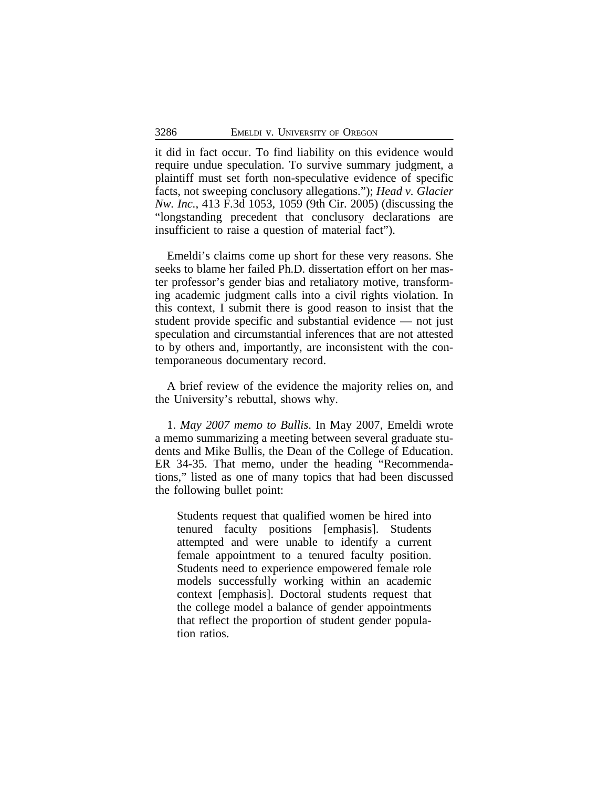it did in fact occur. To find liability on this evidence would require undue speculation. To survive summary judgment, a plaintiff must set forth non-speculative evidence of specific facts, not sweeping conclusory allegations."); *Head v. Glacier Nw. Inc.*, 413 F.3d 1053, 1059 (9th Cir. 2005) (discussing the "longstanding precedent that conclusory declarations are insufficient to raise a question of material fact").

Emeldi's claims come up short for these very reasons. She seeks to blame her failed Ph.D. dissertation effort on her master professor's gender bias and retaliatory motive, transforming academic judgment calls into a civil rights violation. In this context, I submit there is good reason to insist that the student provide specific and substantial evidence — not just speculation and circumstantial inferences that are not attested to by others and, importantly, are inconsistent with the contemporaneous documentary record.

A brief review of the evidence the majority relies on, and the University's rebuttal, shows why.

1. *May 2007 memo to Bullis*. In May 2007, Emeldi wrote a memo summarizing a meeting between several graduate students and Mike Bullis, the Dean of the College of Education. ER 34-35. That memo, under the heading "Recommendations," listed as one of many topics that had been discussed the following bullet point:

Students request that qualified women be hired into tenured faculty positions [emphasis]. Students attempted and were unable to identify a current female appointment to a tenured faculty position. Students need to experience empowered female role models successfully working within an academic context [emphasis]. Doctoral students request that the college model a balance of gender appointments that reflect the proportion of student gender population ratios.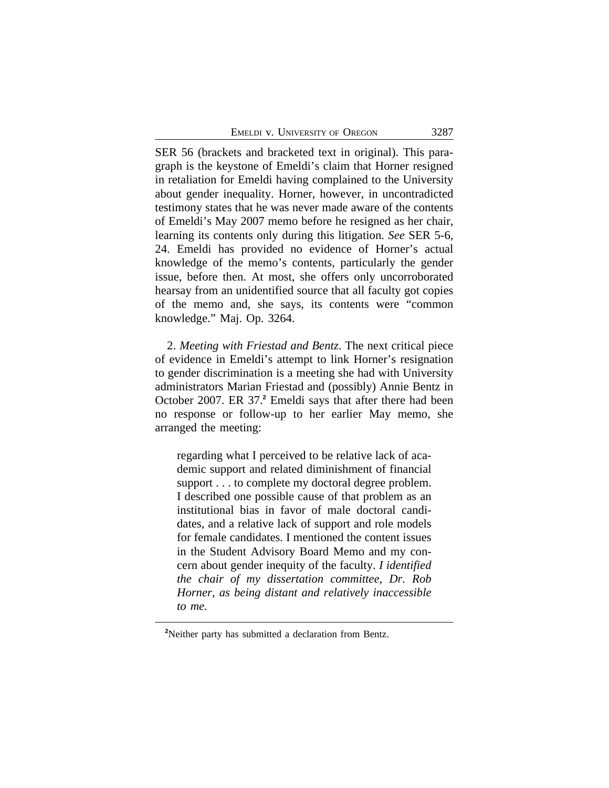SER 56 (brackets and bracketed text in original). This paragraph is the keystone of Emeldi's claim that Horner resigned in retaliation for Emeldi having complained to the University about gender inequality. Horner, however, in uncontradicted testimony states that he was never made aware of the contents of Emeldi's May 2007 memo before he resigned as her chair, learning its contents only during this litigation. *See* SER 5-6, 24. Emeldi has provided no evidence of Horner's actual knowledge of the memo's contents, particularly the gender issue, before then. At most, she offers only uncorroborated hearsay from an unidentified source that all faculty got copies of the memo and, she says, its contents were "common knowledge." Maj. Op. 3264.

2. *Meeting with Friestad and Bentz*. The next critical piece of evidence in Emeldi's attempt to link Horner's resignation to gender discrimination is a meeting she had with University administrators Marian Friestad and (possibly) Annie Bentz in October 2007. ER 37.**<sup>2</sup>** Emeldi says that after there had been no response or follow-up to her earlier May memo, she arranged the meeting:

regarding what I perceived to be relative lack of academic support and related diminishment of financial support . . . to complete my doctoral degree problem. I described one possible cause of that problem as an institutional bias in favor of male doctoral candidates, and a relative lack of support and role models for female candidates. I mentioned the content issues in the Student Advisory Board Memo and my concern about gender inequity of the faculty. *I identified the chair of my dissertation committee, Dr. Rob Horner, as being distant and relatively inaccessible to me.* 

**<sup>2</sup>**Neither party has submitted a declaration from Bentz.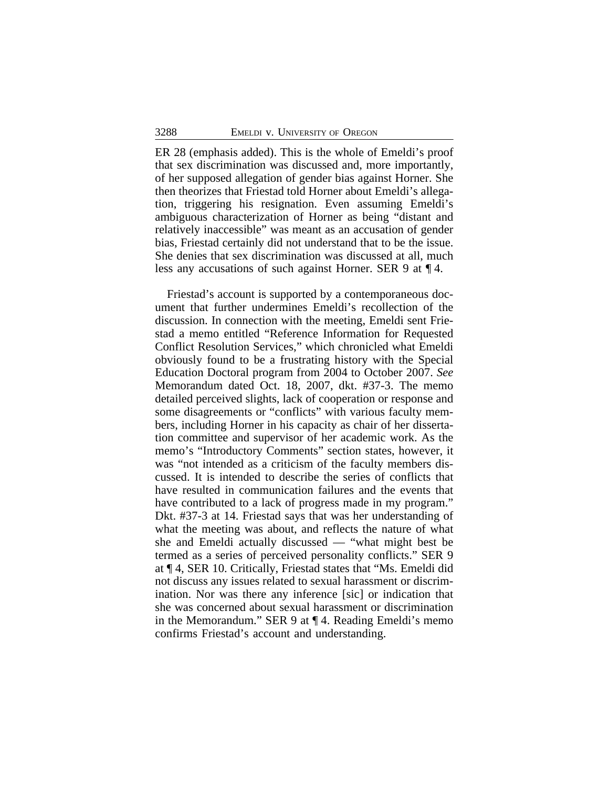ER 28 (emphasis added). This is the whole of Emeldi's proof that sex discrimination was discussed and, more importantly, of her supposed allegation of gender bias against Horner. She then theorizes that Friestad told Horner about Emeldi's allegation, triggering his resignation. Even assuming Emeldi's ambiguous characterization of Horner as being "distant and relatively inaccessible" was meant as an accusation of gender bias, Friestad certainly did not understand that to be the issue. She denies that sex discrimination was discussed at all, much less any accusations of such against Horner. SER 9 at ¶ 4.

Friestad's account is supported by a contemporaneous document that further undermines Emeldi's recollection of the discussion. In connection with the meeting, Emeldi sent Friestad a memo entitled "Reference Information for Requested Conflict Resolution Services," which chronicled what Emeldi obviously found to be a frustrating history with the Special Education Doctoral program from 2004 to October 2007. *See* Memorandum dated Oct. 18, 2007, dkt. #37-3. The memo detailed perceived slights, lack of cooperation or response and some disagreements or "conflicts" with various faculty members, including Horner in his capacity as chair of her dissertation committee and supervisor of her academic work. As the memo's "Introductory Comments" section states, however, it was "not intended as a criticism of the faculty members discussed. It is intended to describe the series of conflicts that have resulted in communication failures and the events that have contributed to a lack of progress made in my program." Dkt. #37-3 at 14. Friestad says that was her understanding of what the meeting was about, and reflects the nature of what she and Emeldi actually discussed — "what might best be termed as a series of perceived personality conflicts." SER 9 at ¶ 4, SER 10. Critically, Friestad states that "Ms. Emeldi did not discuss any issues related to sexual harassment or discrimination. Nor was there any inference [sic] or indication that she was concerned about sexual harassment or discrimination in the Memorandum." SER 9 at ¶ 4. Reading Emeldi's memo confirms Friestad's account and understanding.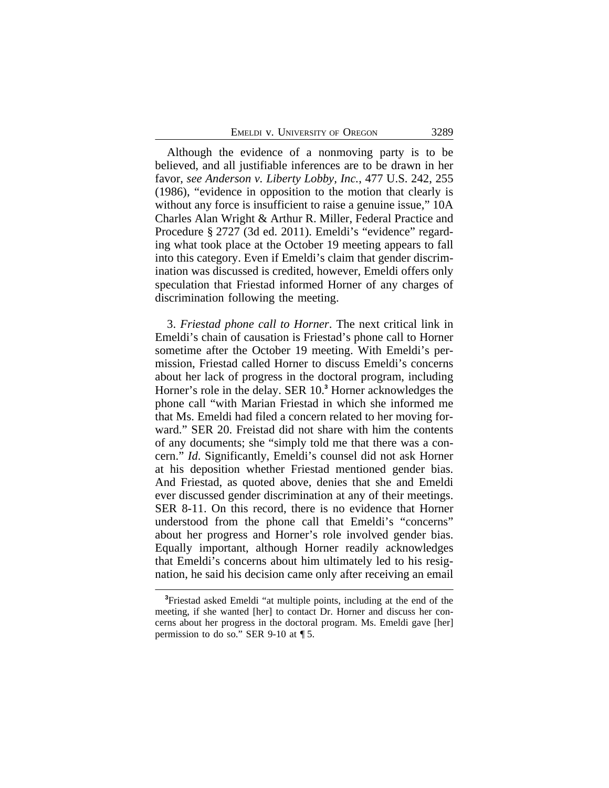Although the evidence of a nonmoving party is to be believed, and all justifiable inferences are to be drawn in her favor, *see Anderson v. Liberty Lobby, Inc.*, 477 U.S. 242, 255 (1986), "evidence in opposition to the motion that clearly is without any force is insufficient to raise a genuine issue,"  $10A$ Charles Alan Wright & Arthur R. Miller, Federal Practice and Procedure § 2727 (3d ed. 2011). Emeldi's "evidence" regarding what took place at the October 19 meeting appears to fall into this category. Even if Emeldi's claim that gender discrimination was discussed is credited, however, Emeldi offers only speculation that Friestad informed Horner of any charges of discrimination following the meeting.

3. *Friestad phone call to Horner*. The next critical link in Emeldi's chain of causation is Friestad's phone call to Horner sometime after the October 19 meeting. With Emeldi's permission, Friestad called Horner to discuss Emeldi's concerns about her lack of progress in the doctoral program, including Horner's role in the delay. SER 10.**<sup>3</sup>** Horner acknowledges the phone call "with Marian Friestad in which she informed me that Ms. Emeldi had filed a concern related to her moving forward." SER 20. Freistad did not share with him the contents of any documents; she "simply told me that there was a concern." *Id*. Significantly, Emeldi's counsel did not ask Horner at his deposition whether Friestad mentioned gender bias. And Friestad, as quoted above, denies that she and Emeldi ever discussed gender discrimination at any of their meetings. SER 8-11. On this record, there is no evidence that Horner understood from the phone call that Emeldi's "concerns" about her progress and Horner's role involved gender bias. Equally important, although Horner readily acknowledges that Emeldi's concerns about him ultimately led to his resignation, he said his decision came only after receiving an email

**<sup>3</sup>**Friestad asked Emeldi "at multiple points, including at the end of the meeting, if she wanted [her] to contact Dr. Horner and discuss her concerns about her progress in the doctoral program. Ms. Emeldi gave [her] permission to do so." SER 9-10 at ¶ 5.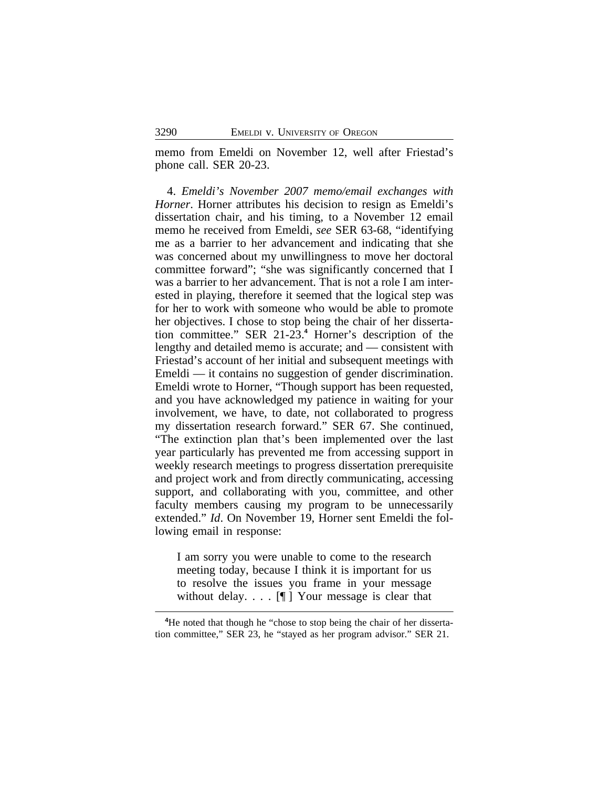memo from Emeldi on November 12, well after Friestad's phone call. SER 20-23.

4. *Emeldi's November 2007 memo/email exchanges with Horner*. Horner attributes his decision to resign as Emeldi's dissertation chair, and his timing, to a November 12 email memo he received from Emeldi, *see* SER 63-68, "identifying me as a barrier to her advancement and indicating that she was concerned about my unwillingness to move her doctoral committee forward"; "she was significantly concerned that I was a barrier to her advancement. That is not a role I am interested in playing, therefore it seemed that the logical step was for her to work with someone who would be able to promote her objectives. I chose to stop being the chair of her dissertation committee." SER 21-23.**<sup>4</sup>** Horner's description of the lengthy and detailed memo is accurate; and — consistent with Friestad's account of her initial and subsequent meetings with Emeldi — it contains no suggestion of gender discrimination. Emeldi wrote to Horner, "Though support has been requested, and you have acknowledged my patience in waiting for your involvement, we have, to date, not collaborated to progress my dissertation research forward." SER 67. She continued, "The extinction plan that's been implemented over the last year particularly has prevented me from accessing support in weekly research meetings to progress dissertation prerequisite and project work and from directly communicating, accessing support, and collaborating with you, committee, and other faculty members causing my program to be unnecessarily extended." *Id*. On November 19, Horner sent Emeldi the following email in response:

I am sorry you were unable to come to the research meeting today, because I think it is important for us to resolve the issues you frame in your message without delay.  $\[\cdot\]$  Your message is clear that

**<sup>4</sup>**He noted that though he "chose to stop being the chair of her dissertation committee," SER 23, he "stayed as her program advisor." SER 21.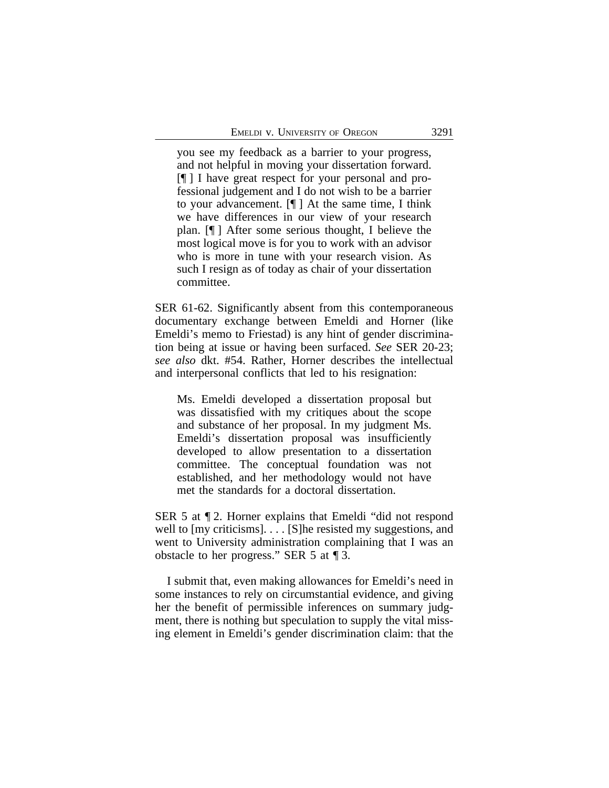you see my feedback as a barrier to your progress, and not helpful in moving your dissertation forward. [¶ ] I have great respect for your personal and professional judgement and I do not wish to be a barrier to your advancement. [¶ ] At the same time, I think we have differences in our view of your research plan. [¶ ] After some serious thought, I believe the most logical move is for you to work with an advisor who is more in tune with your research vision. As such I resign as of today as chair of your dissertation committee.

SER 61-62. Significantly absent from this contemporaneous documentary exchange between Emeldi and Horner (like Emeldi's memo to Friestad) is any hint of gender discrimination being at issue or having been surfaced. *See* SER 20-23; *see also* dkt. #54. Rather, Horner describes the intellectual and interpersonal conflicts that led to his resignation:

Ms. Emeldi developed a dissertation proposal but was dissatisfied with my critiques about the scope and substance of her proposal. In my judgment Ms. Emeldi's dissertation proposal was insufficiently developed to allow presentation to a dissertation committee. The conceptual foundation was not established, and her methodology would not have met the standards for a doctoral dissertation.

SER 5 at ¶ 2. Horner explains that Emeldi "did not respond well to [my criticisms]... [S]he resisted my suggestions, and went to University administration complaining that I was an obstacle to her progress." SER 5 at ¶ 3.

I submit that, even making allowances for Emeldi's need in some instances to rely on circumstantial evidence, and giving her the benefit of permissible inferences on summary judgment, there is nothing but speculation to supply the vital missing element in Emeldi's gender discrimination claim: that the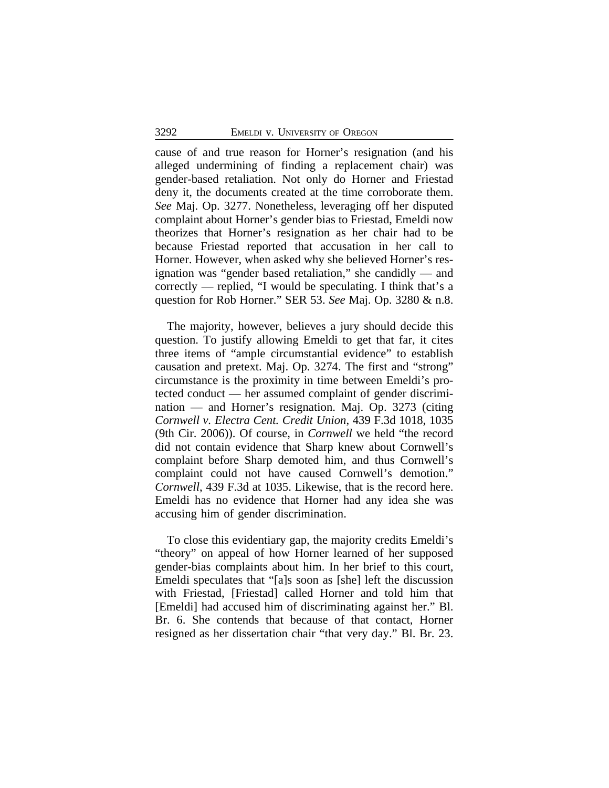cause of and true reason for Horner's resignation (and his alleged undermining of finding a replacement chair) was gender-based retaliation. Not only do Horner and Friestad deny it, the documents created at the time corroborate them. *See* Maj. Op. 3277. Nonetheless, leveraging off her disputed complaint about Horner's gender bias to Friestad, Emeldi now theorizes that Horner's resignation as her chair had to be because Friestad reported that accusation in her call to Horner. However, when asked why she believed Horner's resignation was "gender based retaliation," she candidly — and correctly — replied, "I would be speculating. I think that's a question for Rob Horner." SER 53. *See* Maj. Op. 3280 & n.8.

The majority, however, believes a jury should decide this question. To justify allowing Emeldi to get that far, it cites three items of "ample circumstantial evidence" to establish causation and pretext. Maj. Op. 3274. The first and "strong" circumstance is the proximity in time between Emeldi's protected conduct — her assumed complaint of gender discrimination — and Horner's resignation. Maj. Op. 3273 (citing *Cornwell v. Electra Cent. Credit Union*, 439 F.3d 1018, 1035 (9th Cir. 2006)). Of course, in *Cornwell* we held "the record did not contain evidence that Sharp knew about Cornwell's complaint before Sharp demoted him, and thus Cornwell's complaint could not have caused Cornwell's demotion." *Cornwell*, 439 F.3d at 1035. Likewise, that is the record here. Emeldi has no evidence that Horner had any idea she was accusing him of gender discrimination.

To close this evidentiary gap, the majority credits Emeldi's "theory" on appeal of how Horner learned of her supposed gender-bias complaints about him. In her brief to this court, Emeldi speculates that "[a]s soon as [she] left the discussion with Friestad, [Friestad] called Horner and told him that [Emeldi] had accused him of discriminating against her." Bl. Br. 6. She contends that because of that contact, Horner resigned as her dissertation chair "that very day." Bl. Br. 23.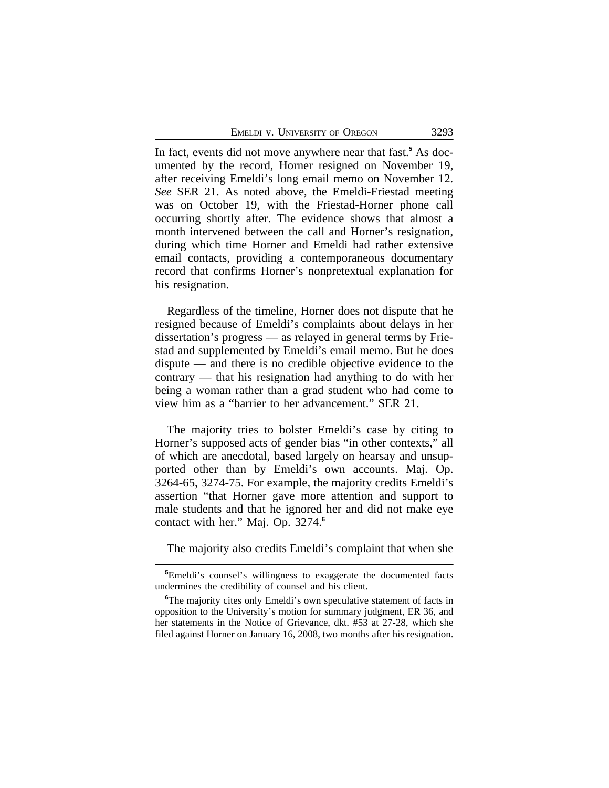In fact, events did not move anywhere near that fast.**<sup>5</sup>** As documented by the record, Horner resigned on November 19, after receiving Emeldi's long email memo on November 12. *See* SER 21. As noted above, the Emeldi-Friestad meeting was on October 19, with the Friestad-Horner phone call occurring shortly after. The evidence shows that almost a month intervened between the call and Horner's resignation, during which time Horner and Emeldi had rather extensive email contacts, providing a contemporaneous documentary record that confirms Horner's nonpretextual explanation for his resignation.

Regardless of the timeline, Horner does not dispute that he resigned because of Emeldi's complaints about delays in her dissertation's progress — as relayed in general terms by Friestad and supplemented by Emeldi's email memo. But he does dispute — and there is no credible objective evidence to the contrary — that his resignation had anything to do with her being a woman rather than a grad student who had come to view him as a "barrier to her advancement." SER 21.

The majority tries to bolster Emeldi's case by citing to Horner's supposed acts of gender bias "in other contexts," all of which are anecdotal, based largely on hearsay and unsupported other than by Emeldi's own accounts. Maj. Op. 3264-65, 3274-75. For example, the majority credits Emeldi's assertion "that Horner gave more attention and support to male students and that he ignored her and did not make eye contact with her." Maj. Op. 3274. **6**

The majority also credits Emeldi's complaint that when she

**<sup>5</sup>**Emeldi's counsel's willingness to exaggerate the documented facts undermines the credibility of counsel and his client.

<sup>&</sup>lt;sup>6</sup>The majority cites only Emeldi's own speculative statement of facts in opposition to the University's motion for summary judgment, ER 36, and her statements in the Notice of Grievance, dkt. #53 at 27-28, which she filed against Horner on January 16, 2008, two months after his resignation.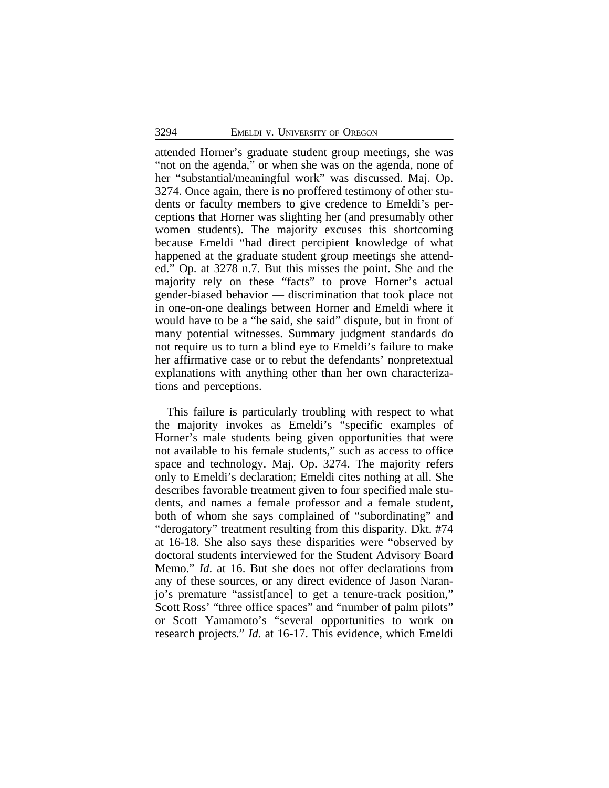attended Horner's graduate student group meetings, she was "not on the agenda," or when she was on the agenda, none of her "substantial/meaningful work" was discussed. Maj. Op. 3274. Once again, there is no proffered testimony of other students or faculty members to give credence to Emeldi's perceptions that Horner was slighting her (and presumably other women students). The majority excuses this shortcoming because Emeldi "had direct percipient knowledge of what happened at the graduate student group meetings she attended." Op. at 3278 n.7. But this misses the point. She and the majority rely on these "facts" to prove Horner's actual gender-biased behavior — discrimination that took place not in one-on-one dealings between Horner and Emeldi where it would have to be a "he said, she said" dispute, but in front of many potential witnesses. Summary judgment standards do not require us to turn a blind eye to Emeldi's failure to make her affirmative case or to rebut the defendants' nonpretextual explanations with anything other than her own characterizations and perceptions.

This failure is particularly troubling with respect to what the majority invokes as Emeldi's "specific examples of Horner's male students being given opportunities that were not available to his female students," such as access to office space and technology. Maj. Op. 3274. The majority refers only to Emeldi's declaration; Emeldi cites nothing at all. She describes favorable treatment given to four specified male students, and names a female professor and a female student, both of whom she says complained of "subordinating" and "derogatory" treatment resulting from this disparity. Dkt. #74 at 16-18. She also says these disparities were "observed by doctoral students interviewed for the Student Advisory Board Memo." *Id*. at 16. But she does not offer declarations from any of these sources, or any direct evidence of Jason Naranjo's premature "assist[ance] to get a tenure-track position," Scott Ross' "three office spaces" and "number of palm pilots" or Scott Yamamoto's "several opportunities to work on research projects." *Id.* at 16-17. This evidence, which Emeldi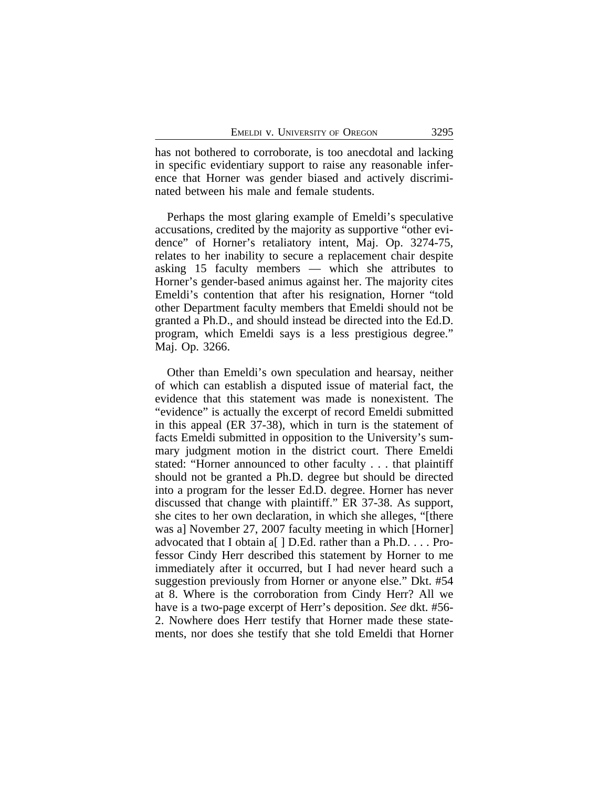has not bothered to corroborate, is too anecdotal and lacking in specific evidentiary support to raise any reasonable inference that Horner was gender biased and actively discriminated between his male and female students.

Perhaps the most glaring example of Emeldi's speculative accusations, credited by the majority as supportive "other evidence" of Horner's retaliatory intent, Maj. Op. 3274-75, relates to her inability to secure a replacement chair despite asking 15 faculty members — which she attributes to Horner's gender-based animus against her. The majority cites Emeldi's contention that after his resignation, Horner "told other Department faculty members that Emeldi should not be granted a Ph.D., and should instead be directed into the Ed.D. program, which Emeldi says is a less prestigious degree." Maj. Op. 3266.

Other than Emeldi's own speculation and hearsay, neither of which can establish a disputed issue of material fact, the evidence that this statement was made is nonexistent. The "evidence" is actually the excerpt of record Emeldi submitted in this appeal (ER 37-38), which in turn is the statement of facts Emeldi submitted in opposition to the University's summary judgment motion in the district court. There Emeldi stated: "Horner announced to other faculty . . . that plaintiff should not be granted a Ph.D. degree but should be directed into a program for the lesser Ed.D. degree. Horner has never discussed that change with plaintiff." ER 37-38. As support, she cites to her own declaration, in which she alleges, "[there was a] November 27, 2007 faculty meeting in which [Horner] advocated that I obtain a[ ] D.Ed. rather than a Ph.D. . . . Professor Cindy Herr described this statement by Horner to me immediately after it occurred, but I had never heard such a suggestion previously from Horner or anyone else." Dkt. #54 at 8. Where is the corroboration from Cindy Herr? All we have is a two-page excerpt of Herr's deposition. *See* dkt. #56- 2. Nowhere does Herr testify that Horner made these statements, nor does she testify that she told Emeldi that Horner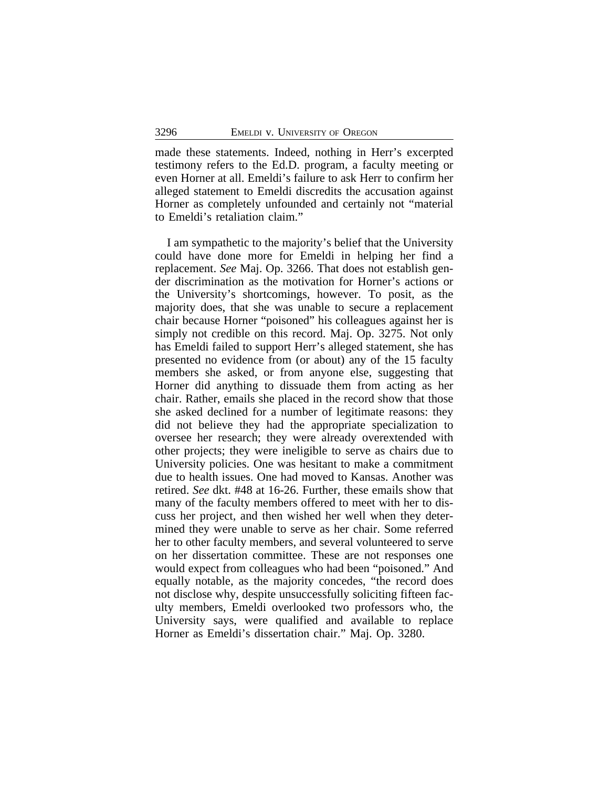made these statements. Indeed, nothing in Herr's excerpted testimony refers to the Ed.D. program, a faculty meeting or even Horner at all. Emeldi's failure to ask Herr to confirm her alleged statement to Emeldi discredits the accusation against Horner as completely unfounded and certainly not "material to Emeldi's retaliation claim."

I am sympathetic to the majority's belief that the University could have done more for Emeldi in helping her find a replacement. *See* Maj. Op. 3266. That does not establish gender discrimination as the motivation for Horner's actions or the University's shortcomings, however. To posit, as the majority does, that she was unable to secure a replacement chair because Horner "poisoned" his colleagues against her is simply not credible on this record. Maj. Op. 3275. Not only has Emeldi failed to support Herr's alleged statement, she has presented no evidence from (or about) any of the 15 faculty members she asked, or from anyone else, suggesting that Horner did anything to dissuade them from acting as her chair. Rather, emails she placed in the record show that those she asked declined for a number of legitimate reasons: they did not believe they had the appropriate specialization to oversee her research; they were already overextended with other projects; they were ineligible to serve as chairs due to University policies. One was hesitant to make a commitment due to health issues. One had moved to Kansas. Another was retired. *See* dkt. #48 at 16-26. Further, these emails show that many of the faculty members offered to meet with her to discuss her project, and then wished her well when they determined they were unable to serve as her chair. Some referred her to other faculty members, and several volunteered to serve on her dissertation committee. These are not responses one would expect from colleagues who had been "poisoned." And equally notable, as the majority concedes, "the record does not disclose why, despite unsuccessfully soliciting fifteen faculty members, Emeldi overlooked two professors who, the University says, were qualified and available to replace Horner as Emeldi's dissertation chair." Maj. Op. 3280.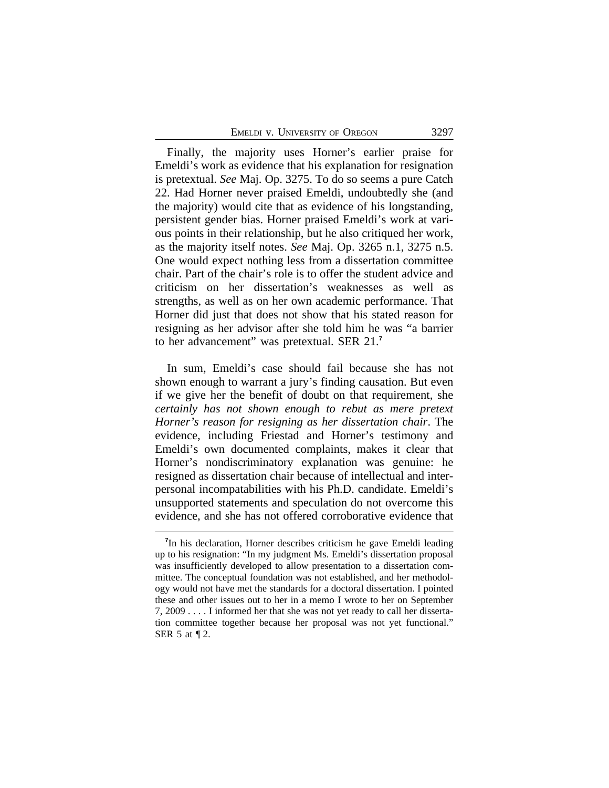Finally, the majority uses Horner's earlier praise for Emeldi's work as evidence that his explanation for resignation is pretextual. *See* Maj. Op. 3275. To do so seems a pure Catch 22. Had Horner never praised Emeldi, undoubtedly she (and the majority) would cite that as evidence of his longstanding, persistent gender bias. Horner praised Emeldi's work at various points in their relationship, but he also critiqued her work, as the majority itself notes. *See* Maj. Op. 3265 n.1, 3275 n.5. One would expect nothing less from a dissertation committee chair. Part of the chair's role is to offer the student advice and criticism on her dissertation's weaknesses as well as strengths, as well as on her own academic performance. That Horner did just that does not show that his stated reason for resigning as her advisor after she told him he was "a barrier to her advancement" was pretextual. SER 21.**<sup>7</sup>**

In sum, Emeldi's case should fail because she has not shown enough to warrant a jury's finding causation. But even if we give her the benefit of doubt on that requirement, she *certainly has not shown enough to rebut as mere pretext Horner's reason for resigning as her dissertation chair*. The evidence, including Friestad and Horner's testimony and Emeldi's own documented complaints, makes it clear that Horner's nondiscriminatory explanation was genuine: he resigned as dissertation chair because of intellectual and interpersonal incompatabilities with his Ph.D. candidate. Emeldi's unsupported statements and speculation do not overcome this evidence, and she has not offered corroborative evidence that

<sup>&</sup>lt;sup>7</sup>In his declaration, Horner describes criticism he gave Emeldi leading up to his resignation: "In my judgment Ms. Emeldi's dissertation proposal was insufficiently developed to allow presentation to a dissertation committee. The conceptual foundation was not established, and her methodology would not have met the standards for a doctoral dissertation. I pointed these and other issues out to her in a memo I wrote to her on September 7, 2009 . . . . I informed her that she was not yet ready to call her dissertation committee together because her proposal was not yet functional." SER 5 at ¶ 2.